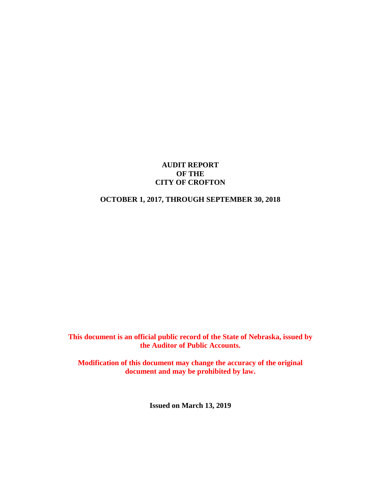#### **AUDIT REPORT OF THE CITY OF CROFTON**

# **OCTOBER 1, 2017, THROUGH SEPTEMBER 30, 2018**

**This document is an official public record of the State of Nebraska, issued by the Auditor of Public Accounts.**

**Modification of this document may change the accuracy of the original document and may be prohibited by law.**

**Issued on March 13, 2019**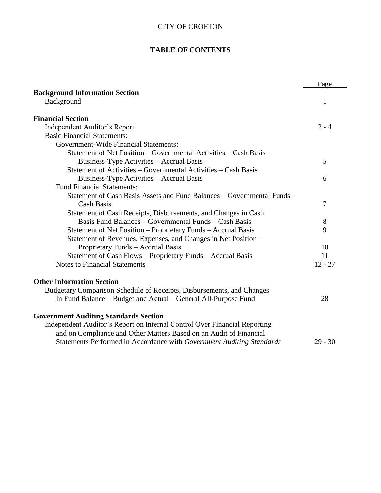# **TABLE OF CONTENTS**

|                                                                                                                                                                                                 | Page      |
|-------------------------------------------------------------------------------------------------------------------------------------------------------------------------------------------------|-----------|
| <b>Background Information Section</b>                                                                                                                                                           |           |
| Background                                                                                                                                                                                      | 1         |
| <b>Financial Section</b>                                                                                                                                                                        |           |
| Independent Auditor's Report                                                                                                                                                                    | $2 - 4$   |
| <b>Basic Financial Statements:</b>                                                                                                                                                              |           |
| <b>Government-Wide Financial Statements:</b>                                                                                                                                                    |           |
| Statement of Net Position – Governmental Activities – Cash Basis                                                                                                                                |           |
| Business-Type Activities – Accrual Basis                                                                                                                                                        | 5         |
| Statement of Activities – Governmental Activities – Cash Basis                                                                                                                                  |           |
| Business-Type Activities - Accrual Basis                                                                                                                                                        | 6         |
| <b>Fund Financial Statements:</b>                                                                                                                                                               |           |
| Statement of Cash Basis Assets and Fund Balances – Governmental Funds –                                                                                                                         |           |
| <b>Cash Basis</b>                                                                                                                                                                               | 7         |
| Statement of Cash Receipts, Disbursements, and Changes in Cash                                                                                                                                  |           |
| Basis Fund Balances – Governmental Funds – Cash Basis                                                                                                                                           | 8         |
| Statement of Net Position – Proprietary Funds – Accrual Basis                                                                                                                                   | 9         |
| Statement of Revenues, Expenses, and Changes in Net Position –                                                                                                                                  |           |
| Proprietary Funds - Accrual Basis                                                                                                                                                               | 10        |
| Statement of Cash Flows - Proprietary Funds - Accrual Basis                                                                                                                                     | 11        |
| <b>Notes to Financial Statements</b>                                                                                                                                                            | $12 - 27$ |
| <b>Other Information Section</b>                                                                                                                                                                |           |
| Budgetary Comparison Schedule of Receipts, Disbursements, and Changes                                                                                                                           |           |
| In Fund Balance – Budget and Actual – General All-Purpose Fund                                                                                                                                  | 28        |
| <b>Government Auditing Standards Section</b><br>Independent Auditor's Report on Internal Control Over Financial Reporting<br>and on Compliance and Other Matters Based on an Audit of Financial |           |
| Statements Performed in Accordance with Government Auditing Standards                                                                                                                           | $29 - 30$ |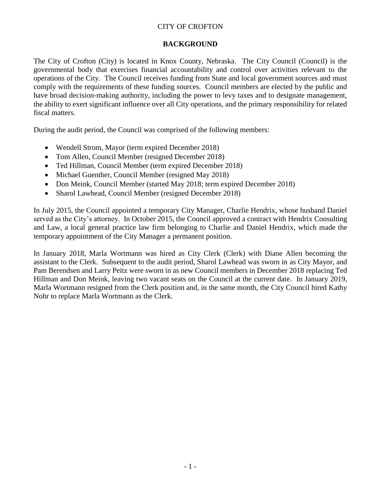## **BACKGROUND**

The City of Crofton (City) is located in Knox County, Nebraska. The City Council (Council) is the governmental body that exercises financial accountability and control over activities relevant to the operations of the City. The Council receives funding from State and local government sources and must comply with the requirements of these funding sources. Council members are elected by the public and have broad decision-making authority, including the power to levy taxes and to designate management, the ability to exert significant influence over all City operations, and the primary responsibility for related fiscal matters.

During the audit period, the Council was comprised of the following members:

- Wendell Strom, Mayor (term expired December 2018)
- Tom Allen, Council Member (resigned December 2018)
- Ted Hillman, Council Member (term expired December 2018)
- Michael Guenther, Council Member (resigned May 2018)
- Don Meink, Council Member (started May 2018; term expired December 2018)
- Sharol Lawhead, Council Member (resigned December 2018)

In July 2015, the Council appointed a temporary City Manager, Charlie Hendrix, whose husband Daniel served as the City's attorney. In October 2015, the Council approved a contract with Hendrix Consulting and Law, a local general practice law firm belonging to Charlie and Daniel Hendrix, which made the temporary appointment of the City Manager a permanent position.

In January 2018, Marla Wortmann was hired as City Clerk (Clerk) with Diane Allen becoming the assistant to the Clerk. Subsequent to the audit period, Sharol Lawhead was sworn in as City Mayor, and Pam Berendsen and Larry Peitz were sworn in as new Council members in December 2018 replacing Ted Hillman and Don Meink, leaving two vacant seats on the Council at the current date. In January 2019, Marla Wortmann resigned from the Clerk position and, in the same month, the City Council hired Kathy Nohr to replace Marla Wortmann as the Clerk.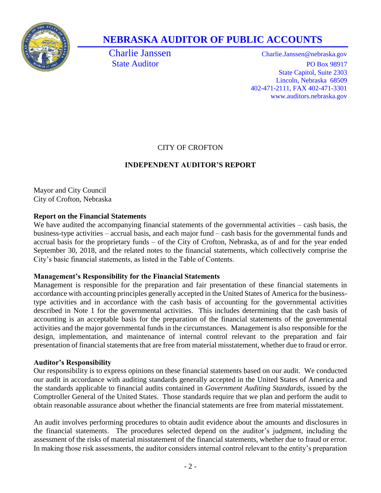

# **NEBRASKA AUDITOR OF PUBLIC ACCOUNTS**

Charlie Janssen Charlie.Janssen@nebraska.gov State Auditor PO Box 98917 State Capitol, Suite 2303 Lincoln, Nebraska 68509 402-471-2111, FAX 402-471-3301 www.auditors.nebraska.gov

# CITY OF CROFTON

# **INDEPENDENT AUDITOR'S REPORT**

Mayor and City Council City of Crofton, Nebraska

# **Report on the Financial Statements**

We have audited the accompanying financial statements of the governmental activities – cash basis, the business-type activities – accrual basis, and each major fund – cash basis for the governmental funds and accrual basis for the proprietary funds – of the City of Crofton, Nebraska, as of and for the year ended September 30, 2018, and the related notes to the financial statements, which collectively comprise the City's basic financial statements, as listed in the Table of Contents.

# **Management's Responsibility for the Financial Statements**

Management is responsible for the preparation and fair presentation of these financial statements in accordance with accounting principles generally accepted in the United States of America for the businesstype activities and in accordance with the cash basis of accounting for the governmental activities described in Note 1 for the governmental activities. This includes determining that the cash basis of accounting is an acceptable basis for the preparation of the financial statements of the governmental activities and the major governmental funds in the circumstances. Management is also responsible for the design, implementation, and maintenance of internal control relevant to the preparation and fair presentation of financial statements that are free from material misstatement, whether due to fraud or error.

# **Auditor's Responsibility**

Our responsibility is to express opinions on these financial statements based on our audit. We conducted our audit in accordance with auditing standards generally accepted in the United States of America and the standards applicable to financial audits contained in *Government Auditing Standards*, issued by the Comptroller General of the United States. Those standards require that we plan and perform the audit to obtain reasonable assurance about whether the financial statements are free from material misstatement.

An audit involves performing procedures to obtain audit evidence about the amounts and disclosures in the financial statements. The procedures selected depend on the auditor's judgment, including the assessment of the risks of material misstatement of the financial statements, whether due to fraud or error. In making those risk assessments, the auditor considers internal control relevant to the entity's preparation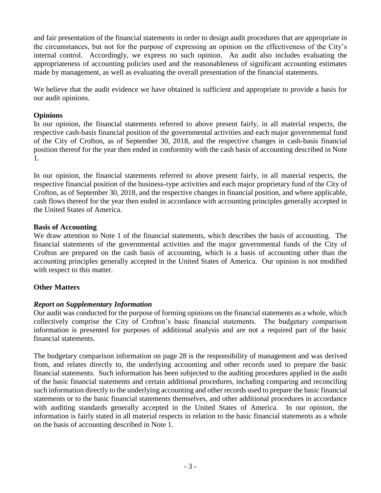and fair presentation of the financial statements in order to design audit procedures that are appropriate in the circumstances, but not for the purpose of expressing an opinion on the effectiveness of the City's internal control. Accordingly, we express no such opinion. An audit also includes evaluating the appropriateness of accounting policies used and the reasonableness of significant accounting estimates made by management, as well as evaluating the overall presentation of the financial statements.

We believe that the audit evidence we have obtained is sufficient and appropriate to provide a basis for our audit opinions.

#### **Opinions**

In our opinion, the financial statements referred to above present fairly, in all material respects, the respective cash-basis financial position of the governmental activities and each major governmental fund of the City of Crofton, as of September 30, 2018, and the respective changes in cash-basis financial position thereof for the year then ended in conformity with the cash basis of accounting described in Note 1.

In our opinion, the financial statements referred to above present fairly, in all material respects, the respective financial position of the business-type activities and each major proprietary fund of the City of Crofton, as of September 30, 2018, and the respective changes in financial position, and where applicable, cash flows thereof for the year then ended in accordance with accounting principles generally accepted in the United States of America.

#### **Basis of Accounting**

We draw attention to Note 1 of the financial statements, which describes the basis of accounting. The financial statements of the governmental activities and the major governmental funds of the City of Crofton are prepared on the cash basis of accounting, which is a basis of accounting other than the accounting principles generally accepted in the United States of America. Our opinion is not modified with respect to this matter.

## **Other Matters**

## *Report on Supplementary Information*

Our audit was conducted for the purpose of forming opinions on the financial statements as a whole, which collectively comprise the City of Crofton's basic financial statements. The budgetary comparison information is presented for purposes of additional analysis and are not a required part of the basic financial statements.

The budgetary comparison information on page 28 is the responsibility of management and was derived from, and relates directly to, the underlying accounting and other records used to prepare the basic financial statements. Such information has been subjected to the auditing procedures applied in the audit of the basic financial statements and certain additional procedures, including comparing and reconciling such information directly to the underlying accounting and other records used to prepare the basic financial statements or to the basic financial statements themselves, and other additional procedures in accordance with auditing standards generally accepted in the United States of America. In our opinion, the information is fairly stated in all material respects in relation to the basic financial statements as a whole on the basis of accounting described in Note 1.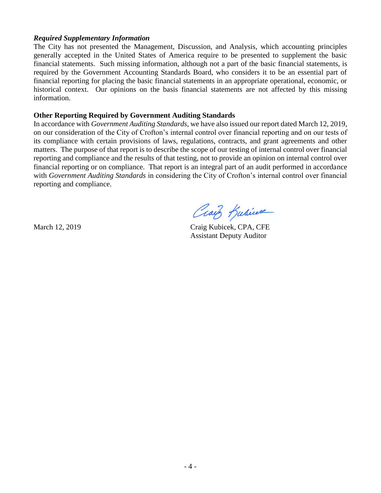#### *Required Supplementary Information*

The City has not presented the Management, Discussion, and Analysis, which accounting principles generally accepted in the United States of America require to be presented to supplement the basic financial statements. Such missing information, although not a part of the basic financial statements, is required by the Government Accounting Standards Board, who considers it to be an essential part of financial reporting for placing the basic financial statements in an appropriate operational, economic, or historical context. Our opinions on the basis financial statements are not affected by this missing information.

#### **Other Reporting Required by Government Auditing Standards**

In accordance with *Government Auditing Standards*, we have also issued our report dated March 12, 2019, on our consideration of the City of Crofton's internal control over financial reporting and on our tests of its compliance with certain provisions of laws, regulations, contracts, and grant agreements and other matters. The purpose of that report is to describe the scope of our testing of internal control over financial reporting and compliance and the results of that testing, not to provide an opinion on internal control over financial reporting or on compliance. That report is an integral part of an audit performed in accordance with *Government Auditing Standards* in considering the City of Crofton's internal control over financial reporting and compliance.

Craig Kabicere

March 12, 2019 Craig Kubicek, CPA, CFE Assistant Deputy Auditor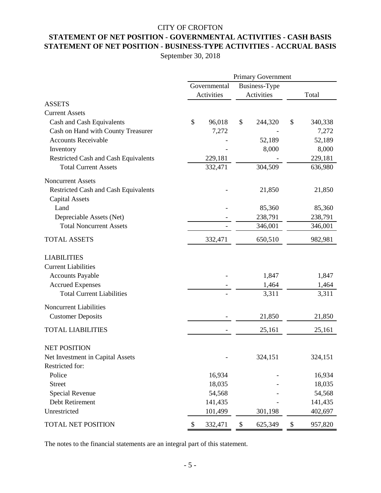# **STATEMENT OF NET POSITION - GOVERNMENTAL ACTIVITIES - CASH BASIS** CITY OF CROFTON **STATEMENT OF NET POSITION - BUSINESS-TYPE ACTIVITIES - ACCRUAL BASIS**

September 30, 2018

|                                             | Governmental |            |      | <b>Business-Type</b> |       |         |  |
|---------------------------------------------|--------------|------------|------|----------------------|-------|---------|--|
|                                             |              | Activities |      | Activities           | Total |         |  |
| <b>ASSETS</b>                               |              |            |      |                      |       |         |  |
| <b>Current Assets</b>                       |              |            |      |                      |       |         |  |
| Cash and Cash Equivalents                   | \$           | 96,018     | \$   | 244,320              | \$    | 340,338 |  |
| Cash on Hand with County Treasurer          |              | 7,272      |      |                      |       | 7,272   |  |
| <b>Accounts Receivable</b>                  |              |            |      | 52,189               |       | 52,189  |  |
| Inventory                                   |              |            |      | 8,000                |       | 8,000   |  |
| Restricted Cash and Cash Equivalents        |              | 229,181    |      |                      |       | 229,181 |  |
| <b>Total Current Assets</b>                 |              | 332,471    |      | 304,509              |       | 636,980 |  |
| <b>Noncurrent Assets</b>                    |              |            |      |                      |       |         |  |
| <b>Restricted Cash and Cash Equivalents</b> |              |            |      | 21,850               |       | 21,850  |  |
| <b>Capital Assets</b>                       |              |            |      |                      |       |         |  |
| Land                                        |              |            |      | 85,360               |       | 85,360  |  |
| Depreciable Assets (Net)                    |              |            |      | 238,791              |       | 238,791 |  |
| <b>Total Noncurrent Assets</b>              |              |            |      | 346,001              |       | 346,001 |  |
| <b>TOTAL ASSETS</b>                         |              | 332,471    |      | 650,510              |       | 982,981 |  |
| <b>LIABILITIES</b>                          |              |            |      |                      |       |         |  |
| <b>Current Liabilities</b>                  |              |            |      |                      |       |         |  |
| <b>Accounts Payable</b>                     |              |            |      | 1,847                |       | 1,847   |  |
| <b>Accrued Expenses</b>                     |              |            |      | 1,464                |       | 1,464   |  |
| <b>Total Current Liabilities</b>            |              |            |      | 3,311                |       | 3,311   |  |
| <b>Noncurrent Liabilities</b>               |              |            |      |                      |       |         |  |
| <b>Customer Deposits</b>                    |              |            |      | 21,850               |       | 21,850  |  |
| <b>TOTAL LIABILITIES</b>                    |              |            |      | 25,161               |       | 25,161  |  |
| <b>NET POSITION</b>                         |              |            |      |                      |       |         |  |
| Net Investment in Capital Assets            |              |            |      | 324,151              |       | 324,151 |  |
| Restricted for:                             |              |            |      |                      |       |         |  |
| Police                                      |              | 16,934     |      |                      |       | 16,934  |  |
| <b>Street</b>                               |              | 18,035     |      |                      |       | 18,035  |  |
| Special Revenue                             |              | 54,568     |      |                      |       | 54,568  |  |
| Debt Retirement                             |              | 141,435    |      |                      |       | 141,435 |  |
| Unrestricted                                |              | 101,499    |      | 301,198              |       | 402,697 |  |
| TOTAL NET POSITION                          | \$           | 332,471    | $\$$ | 625,349              | \$    | 957,820 |  |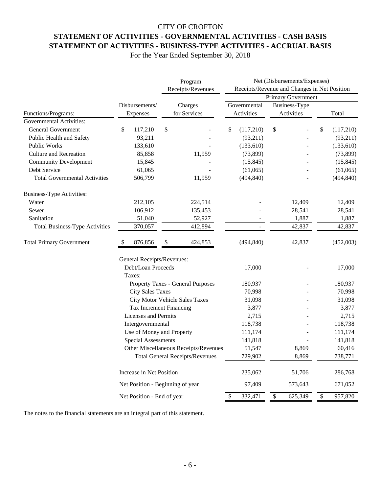# CITY OF CROFTON **STATEMENT OF ACTIVITIES - GOVERNMENTAL ACTIVITIES - CASH BASIS STATEMENT OF ACTIVITIES - BUSINESS-TYPE ACTIVITIES - ACCRUAL BASIS**

For the Year Ended September 30, 2018

|                                       | Program<br>Receipts/Revenues     |                                        | Net (Disbursements/Expenses)<br>Receipts/Revenue and Changes in Net Position |                      |                                      |  |  |  |
|---------------------------------------|----------------------------------|----------------------------------------|------------------------------------------------------------------------------|----------------------|--------------------------------------|--|--|--|
|                                       |                                  |                                        | <b>Primary Government</b>                                                    |                      |                                      |  |  |  |
|                                       | Disbursements/                   | Charges                                | Governmental                                                                 | <b>Business-Type</b> |                                      |  |  |  |
| Functions/Programs:                   | Expenses                         | for Services                           | Activities                                                                   | Activities           | Total                                |  |  |  |
| Governmental Activities:              |                                  |                                        |                                                                              |                      |                                      |  |  |  |
| <b>General Government</b>             | \$<br>117,210                    | \$                                     | \$<br>(117,210)                                                              | \$                   | \$<br>(117,210)                      |  |  |  |
| Public Health and Safety              | 93,211                           |                                        | (93,211)                                                                     |                      | (93,211)                             |  |  |  |
| <b>Public Works</b>                   | 133,610                          |                                        | (133,610)                                                                    |                      | (133,610)                            |  |  |  |
| <b>Culture and Recreation</b>         | 85,858                           | 11,959                                 | (73, 899)                                                                    |                      | (73, 899)                            |  |  |  |
| <b>Community Development</b>          | 15,845                           |                                        | (15, 845)                                                                    |                      | (15, 845)                            |  |  |  |
| Debt Service                          | 61,065                           |                                        | (61,065)                                                                     |                      | (61,065)                             |  |  |  |
| <b>Total Governmental Activities</b>  | 506,799                          | 11,959                                 | (494, 840)                                                                   |                      | (494, 840)                           |  |  |  |
| <b>Business-Type Activities:</b>      |                                  |                                        |                                                                              |                      |                                      |  |  |  |
| Water                                 | 212,105                          | 224,514                                |                                                                              | 12,409               | 12,409                               |  |  |  |
| Sewer                                 | 106,912                          | 135,453                                |                                                                              | 28,541               | 28,541                               |  |  |  |
| Sanitation                            | 51,040                           | 52,927                                 |                                                                              | 1,887                | 1,887                                |  |  |  |
| <b>Total Business-Type Activities</b> | 370,057                          | 412,894                                |                                                                              | 42,837               | 42,837                               |  |  |  |
| <b>Total Primary Government</b>       | 876,856                          | \$<br>424,853                          | (494, 840)                                                                   | 42,837               | (452,003)                            |  |  |  |
|                                       | General Receipts/Revenues:       |                                        |                                                                              |                      |                                      |  |  |  |
|                                       | Debt/Loan Proceeds               |                                        | 17,000                                                                       |                      | 17,000                               |  |  |  |
|                                       | Taxes:                           |                                        |                                                                              |                      |                                      |  |  |  |
|                                       |                                  | Property Taxes - General Purposes      | 180,937                                                                      |                      | 180,937                              |  |  |  |
|                                       | <b>City Sales Taxes</b>          |                                        | 70,998                                                                       |                      | 70,998                               |  |  |  |
|                                       |                                  | City Motor Vehicle Sales Taxes         | 31,098                                                                       |                      | 31,098                               |  |  |  |
|                                       |                                  | Tax Increment Financing                | 3,877                                                                        |                      | 3,877                                |  |  |  |
|                                       | Licenses and Permits             |                                        | 2,715                                                                        |                      | 2,715                                |  |  |  |
|                                       | Intergovernmental                |                                        | 118,738                                                                      |                      | 118,738                              |  |  |  |
|                                       | Use of Money and Property        |                                        | 111,174                                                                      |                      | 111,174                              |  |  |  |
|                                       | <b>Special Assessments</b>       |                                        | 141,818                                                                      |                      | 141,818                              |  |  |  |
|                                       |                                  | Other Miscellaneous Receipts/Revenues  | 51,547                                                                       | 8,869                | 60,416                               |  |  |  |
|                                       |                                  | <b>Total General Receipts/Revenues</b> | 729,902                                                                      | 8,869                | 738,771                              |  |  |  |
|                                       | Increase in Net Position         |                                        | 235,062                                                                      | 51,706               | 286,768                              |  |  |  |
|                                       | Net Position - Beginning of year |                                        | 97,409                                                                       | 573,643              | 671,052                              |  |  |  |
|                                       | Net Position - End of year       |                                        | 332,471<br>\$                                                                | \$<br>625,349        | $\boldsymbol{\mathsf{S}}$<br>957,820 |  |  |  |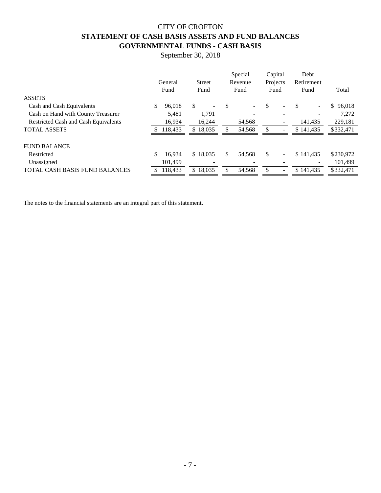# CITY OF CROFTON **STATEMENT OF CASH BASIS ASSETS AND FUND BALANCES GOVERNMENTAL FUNDS - CASH BASIS**

September 30, 2018

|                                             | General      | <b>Street</b>                  | Special<br>Revenue             | Capital<br>Projects |                          | Debt<br>Retirement |                          |           |
|---------------------------------------------|--------------|--------------------------------|--------------------------------|---------------------|--------------------------|--------------------|--------------------------|-----------|
|                                             | Fund         | Fund                           | Fund                           | Fund                |                          | Fund               |                          | Total     |
| <b>ASSETS</b>                               |              |                                |                                |                     |                          |                    |                          |           |
| Cash and Cash Equivalents                   | \$<br>96,018 | \$<br>$\overline{\phantom{a}}$ | \$<br>$\overline{\phantom{0}}$ | \$                  |                          |                    | $\overline{\phantom{0}}$ | \$96,018  |
| Cash on Hand with County Treasurer          | 5,481        | 1,791                          |                                |                     |                          |                    |                          | 7,272     |
| <b>Restricted Cash and Cash Equivalents</b> | 16,934       | 16,244                         | 54,568                         |                     |                          |                    | 141,435                  | 229,181   |
| <b>TOTAL ASSETS</b>                         | 118.433      | \$18,035                       | 54,568                         | \$.                 |                          | \$141.435          |                          | \$332,471 |
| <b>FUND BALANCE</b>                         |              |                                |                                |                     |                          |                    |                          |           |
| Restricted                                  | \$<br>16.934 | \$18,035                       | \$<br>54,568                   | \$                  | $\overline{\phantom{a}}$ | \$141.435          |                          | \$230,972 |
| Unassigned                                  | 101,499      |                                |                                |                     |                          |                    |                          | 101,499   |
| <b>TOTAL CASH BASIS FUND BALANCES</b>       | 118,433      | \$18,035                       | 54,568                         | \$                  |                          | \$141.435          |                          | \$332,471 |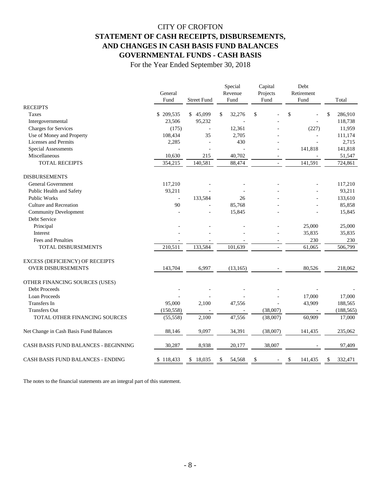# CITY OF CROFTON **STATEMENT OF CASH RECEIPTS, DISBURSEMENTS, AND CHANGES IN CASH BASIS FUND BALANCES GOVERNMENTAL FUNDS - CASH BASIS**

For the Year Ended September 30, 2018

|                                          | General<br><b>Street Fund</b><br>Fund |                | Special<br>Revenue<br>Fund | Capital<br>Projects | Debt<br>Retirement<br>Fund<br>Fund |               |
|------------------------------------------|---------------------------------------|----------------|----------------------------|---------------------|------------------------------------|---------------|
| <b>RECEIPTS</b>                          |                                       |                |                            |                     |                                    | Total         |
| Taxes                                    | \$209,535                             | \$45,099       | \$<br>32,276               | \$                  | \$                                 | \$<br>286,910 |
| Intergovernmental                        | 23,506                                | 95,232         |                            |                     |                                    | 118,738       |
| <b>Charges for Services</b>              | (175)                                 | $\overline{a}$ | 12,361                     |                     | (227)                              | 11,959        |
| Use of Money and Property                | 108,434                               | 35             | 2,705                      |                     |                                    | 111,174       |
| <b>Licenses and Permits</b>              | 2,285                                 | L,             | 430                        |                     |                                    | 2,715         |
| <b>Special Assessments</b>               |                                       | L,             |                            |                     | 141,818                            | 141,818       |
| Miscellaneous                            | 10,630                                | 215            | 40,702                     |                     |                                    | 51,547        |
| <b>TOTAL RECEIPTS</b>                    | 354,215                               | 140,581        | 88,474                     |                     | 141,591                            | 724,861       |
| <b>DISBURSEMENTS</b>                     |                                       |                |                            |                     |                                    |               |
| General Government                       | 117,210                               |                |                            |                     |                                    | 117,210       |
| Public Health and Safety                 | 93,211                                |                |                            |                     |                                    | 93,211        |
| <b>Public Works</b>                      | $\sim$                                | 133,584        | 26                         |                     |                                    | 133,610       |
| <b>Culture and Recreation</b>            | 90                                    |                | 85,768                     |                     |                                    | 85,858        |
| <b>Community Development</b>             |                                       |                | 15,845                     |                     |                                    | 15,845        |
| Debt Service                             |                                       |                |                            |                     |                                    |               |
| Principal                                |                                       |                |                            |                     | 25,000                             | 25,000        |
| Interest                                 |                                       |                |                            |                     | 35,835                             | 35,835        |
| Fees and Penalties                       |                                       |                |                            |                     | 230                                | 230           |
| TOTAL DISBURSEMENTS                      | 210,511                               | 133,584        | 101,639                    |                     | 61,065                             | 506,799       |
| EXCESS (DEFICIENCY) OF RECEIPTS          |                                       |                |                            |                     |                                    |               |
| <b>OVER DISBURSEMENTS</b>                | 143,704                               | 6,997          | (13, 165)                  |                     | 80,526                             | 218,062       |
| OTHER FINANCING SOURCES (USES)           |                                       |                |                            |                     |                                    |               |
| Debt Proceeds                            |                                       |                |                            |                     |                                    |               |
| Loan Proceeds                            |                                       |                |                            |                     | 17,000                             | 17,000        |
| <b>Transfers</b> In                      | 95,000                                | 2,100          | 47,556                     |                     | 43,909                             | 188,565       |
| <b>Transfers Out</b>                     | (150, 558)                            |                |                            | (38,007)            | $\sim$                             | (188, 565)    |
| TOTAL OTHER FINANCING SOURCES            | (55, 558)                             | 2,100          | 47,556                     | (38,007)            | 60,909                             | 17,000        |
| Net Change in Cash Basis Fund Balances   | 88,146                                | 9,097          | 34,391                     | (38,007)            | 141,435                            | 235,062       |
| CASH BASIS FUND BALANCES - BEGINNING     | 30,287                                | 8,938          | 20,177                     | 38,007              |                                    | 97,409        |
| <b>CASH BASIS FUND BALANCES - ENDING</b> | \$118,433                             | 18,035<br>S    | 54,568<br>\$               | \$                  | 141,435<br>\$                      | 332,471<br>S  |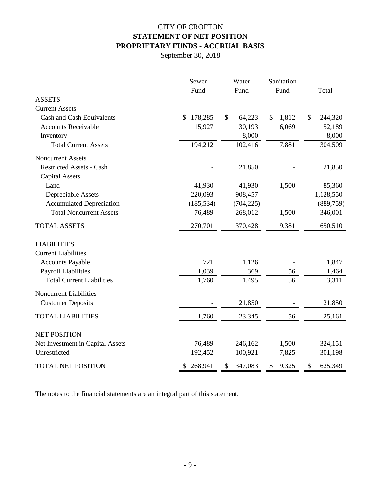# CITY OF CROFTON **STATEMENT OF NET POSITION PROPRIETARY FUNDS - ACCRUAL BASIS**

September 30, 2018

|                                  | Sewer         | Water         | Sanitation  |               |
|----------------------------------|---------------|---------------|-------------|---------------|
|                                  | Fund          | Fund          | Fund        | Total         |
| <b>ASSETS</b>                    |               |               |             |               |
| <b>Current Assets</b>            |               |               |             |               |
| Cash and Cash Equivalents        | 178,285<br>\$ | \$<br>64,223  | 1,812<br>\$ | \$<br>244,320 |
| <b>Accounts Receivable</b>       | 15,927        | 30,193        | 6,069       | 52,189        |
| Inventory                        |               | 8,000         |             | 8,000         |
| <b>Total Current Assets</b>      | 194,212       | 102,416       | 7,881       | 304,509       |
| <b>Noncurrent Assets</b>         |               |               |             |               |
| <b>Restricted Assets - Cash</b>  |               | 21,850        |             | 21,850        |
| <b>Capital Assets</b>            |               |               |             |               |
| Land                             | 41,930        | 41,930        | 1,500       | 85,360        |
| Depreciable Assets               | 220,093       | 908,457       |             | 1,128,550     |
| <b>Accumulated Depreciation</b>  | (185, 534)    | (704, 225)    |             | (889, 759)    |
| <b>Total Noncurrent Assets</b>   | 76,489        | 268,012       | 1,500       | 346,001       |
| <b>TOTAL ASSETS</b>              | 270,701       | 370,428       | 9,381       | 650,510       |
| <b>LIABILITIES</b>               |               |               |             |               |
| <b>Current Liabilities</b>       |               |               |             |               |
| <b>Accounts Payable</b>          | 721           | 1,126         |             | 1,847         |
| <b>Payroll Liabilities</b>       | 1,039         | 369           | 56          | 1,464         |
| <b>Total Current Liabilities</b> | 1,760         | 1,495         | 56          | 3,311         |
| Noncurrent Liabilities           |               |               |             |               |
| <b>Customer Deposits</b>         |               | 21,850        |             | 21,850        |
| <b>TOTAL LIABILITIES</b>         | 1,760         | 23,345        | 56          | 25,161        |
| <b>NET POSITION</b>              |               |               |             |               |
| Net Investment in Capital Assets | 76,489        | 246,162       | 1,500       | 324,151       |
| Unrestricted                     | 192,452       | 100,921       | 7,825       | 301,198       |
| <b>TOTAL NET POSITION</b>        | 268,941<br>\$ | \$<br>347,083 | 9,325<br>\$ | \$<br>625,349 |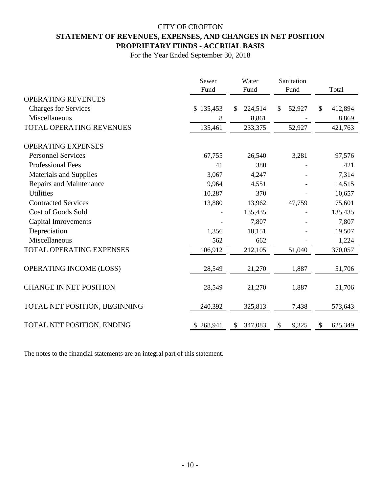# CITY OF CROFTON **STATEMENT OF REVENUES, EXPENSES, AND CHANGES IN NET POSITION PROPRIETARY FUNDS - ACCRUAL BASIS**

For the Year Ended September 30, 2018

|                               | Sewer<br>Fund | Water<br>Fund            | Sanitation<br>Fund | Total         |  |
|-------------------------------|---------------|--------------------------|--------------------|---------------|--|
| <b>OPERATING REVENUES</b>     |               |                          |                    |               |  |
| <b>Charges for Services</b>   | \$135,453     | 224,514<br><sup>\$</sup> | 52,927<br>\$       | \$<br>412,894 |  |
| Miscellaneous                 | 8             | 8,861                    |                    | 8,869         |  |
| TOTAL OPERATING REVENUES      | 135,461       | 233,375                  | 52,927             | 421,763       |  |
| <b>OPERATING EXPENSES</b>     |               |                          |                    |               |  |
| <b>Personnel Services</b>     | 67,755        | 26,540                   | 3,281              | 97,576        |  |
| <b>Professional Fees</b>      | 41            | 380                      |                    | 421           |  |
| <b>Materials and Supplies</b> | 3,067         | 4,247                    |                    | 7,314         |  |
| Repairs and Maintenance       | 9,964         | 4,551                    |                    | 14,515        |  |
| <b>Utilities</b>              | 10,287        | 370                      |                    | 10,657        |  |
| <b>Contracted Services</b>    | 13,880        | 13,962                   | 47,759             | 75,601        |  |
| <b>Cost of Goods Sold</b>     |               | 135,435                  |                    | 135,435       |  |
| <b>Capital Imrovements</b>    |               | 7,807                    |                    | 7,807         |  |
| Depreciation                  | 1,356         | 18,151                   |                    | 19,507        |  |
| Miscellaneous                 | 562           | 662                      |                    | 1,224         |  |
| TOTAL OPERATING EXPENSES      | 106,912       | 212,105                  | 51,040             | 370,057       |  |
| OPERATING INCOME (LOSS)       | 28,549        | 21,270                   | 1,887              | 51,706        |  |
| <b>CHANGE IN NET POSITION</b> | 28,549        | 21,270                   | 1,887              | 51,706        |  |
| TOTAL NET POSITION, BEGINNING | 240,392       | 325,813                  | 7,438              | 573,643       |  |
| TOTAL NET POSITION, ENDING    | \$268,941     | 347,083<br>\$            | 9,325<br>\$        | \$<br>625,349 |  |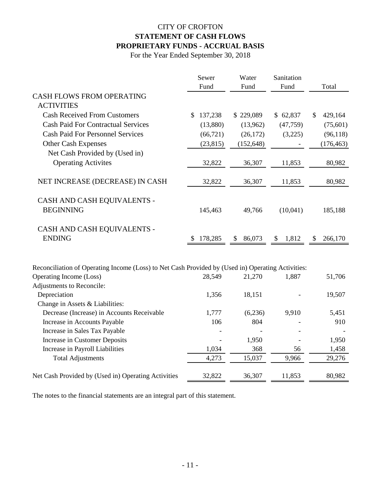# CITY OF CROFTON **STATEMENT OF CASH FLOWS PROPRIETARY FUNDS - ACCRUAL BASIS**

For the Year Ended September 30, 2018

|                                                                                                   | Sewer         | Water        | Sanitation  |               |
|---------------------------------------------------------------------------------------------------|---------------|--------------|-------------|---------------|
|                                                                                                   | Fund          | Fund         | Fund        | Total         |
| <b>CASH FLOWS FROM OPERATING</b>                                                                  |               |              |             |               |
| <b>ACTIVITIES</b>                                                                                 |               |              |             |               |
| <b>Cash Received From Customers</b>                                                               | 137,238<br>\$ | \$229,089    | \$62,837    | \$<br>429,164 |
| <b>Cash Paid For Contractual Services</b>                                                         | (13,880)      | (13,962)     | (47, 759)   | (75, 601)     |
| <b>Cash Paid For Personnel Services</b>                                                           | (66, 721)     | (26, 172)    | (3,225)     | (96, 118)     |
| <b>Other Cash Expenses</b>                                                                        | (23, 815)     | (152, 648)   |             | (176, 463)    |
| Net Cash Provided by (Used in)                                                                    |               |              |             |               |
| <b>Operating Activites</b>                                                                        | 32,822        | 36,307       | 11,853      | 80,982        |
| NET INCREASE (DECREASE) IN CASH                                                                   | 32,822        | 36,307       | 11,853      | 80,982        |
| CASH AND CASH EQUIVALENTS -                                                                       |               |              |             |               |
| <b>BEGINNING</b>                                                                                  | 145,463       | 49,766       | (10,041)    | 185,188       |
| CASH AND CASH EQUIVALENTS -                                                                       |               |              |             |               |
| <b>ENDING</b>                                                                                     | 178,285<br>S  | 86,073<br>\$ | 1,812<br>\$ | 266,170<br>\$ |
|                                                                                                   |               |              |             |               |
| Reconciliation of Operating Income (Loss) to Net Cash Provided by (Used in) Operating Activities: |               |              |             |               |
| Operating Income (Loss)                                                                           | 28,549        | 21,270       | 1,887       | 51,706        |
| Adjustments to Reconcile:                                                                         |               |              |             |               |
| Depreciation                                                                                      | 1,356         | 18,151       |             | 19,507        |
| Change in Assets & Liabilities:                                                                   |               |              |             |               |
| Decrease (Increase) in Accounts Receivable                                                        | 1,777         | (6,236)      | 9,910       | 5,451         |
| Increase in Accounts Payable                                                                      | 106           | 804          |             | 910           |
| Increase in Sales Tax Payable                                                                     |               |              |             |               |
| Increase in Customer Deposits                                                                     |               | 1,950        |             | 1,950         |
| Increase in Payroll Liabilities                                                                   | 1,034         | 368          | 56          | 1,458         |
| <b>Total Adjustments</b>                                                                          | 4,273         | 15,037       | 9,966       | 29,276        |
| Net Cash Provided by (Used in) Operating Activities                                               | 32,822        | 36,307       | 11,853      | 80,982        |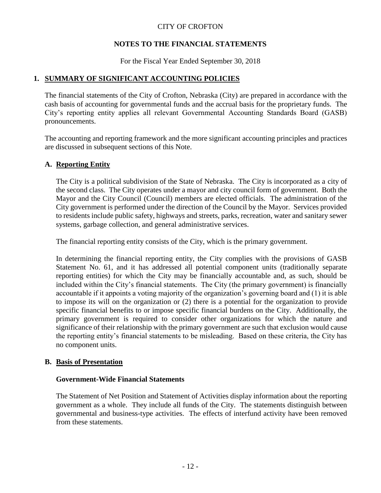# **NOTES TO THE FINANCIAL STATEMENTS**

For the Fiscal Year Ended September 30, 2018

# **1. SUMMARY OF SIGNIFICANT ACCOUNTING POLICIES**

The financial statements of the City of Crofton, Nebraska (City) are prepared in accordance with the cash basis of accounting for governmental funds and the accrual basis for the proprietary funds. The City's reporting entity applies all relevant Governmental Accounting Standards Board (GASB) pronouncements.

The accounting and reporting framework and the more significant accounting principles and practices are discussed in subsequent sections of this Note.

## **A. Reporting Entity**

The City is a political subdivision of the State of Nebraska. The City is incorporated as a city of the second class. The City operates under a mayor and city council form of government. Both the Mayor and the City Council (Council) members are elected officials. The administration of the City government is performed under the direction of the Council by the Mayor. Services provided to residents include public safety, highways and streets, parks, recreation, water and sanitary sewer systems, garbage collection, and general administrative services.

The financial reporting entity consists of the City, which is the primary government.

In determining the financial reporting entity, the City complies with the provisions of GASB Statement No. 61, and it has addressed all potential component units (traditionally separate reporting entities) for which the City may be financially accountable and, as such, should be included within the City's financial statements. The City (the primary government) is financially accountable if it appoints a voting majority of the organization's governing board and (1) it is able to impose its will on the organization or (2) there is a potential for the organization to provide specific financial benefits to or impose specific financial burdens on the City. Additionally, the primary government is required to consider other organizations for which the nature and significance of their relationship with the primary government are such that exclusion would cause the reporting entity's financial statements to be misleading. Based on these criteria, the City has no component units.

## **B. Basis of Presentation**

#### **Government-Wide Financial Statements**

The Statement of Net Position and Statement of Activities display information about the reporting government as a whole. They include all funds of the City. The statements distinguish between governmental and business-type activities. The effects of interfund activity have been removed from these statements.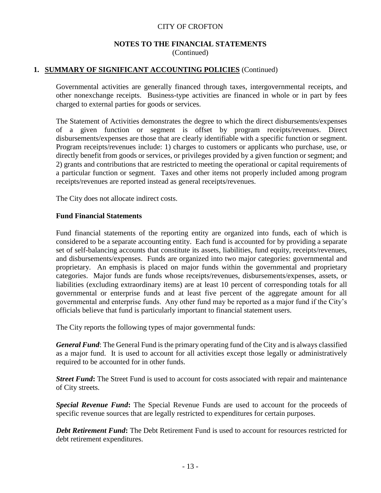#### **NOTES TO THE FINANCIAL STATEMENTS** (Continued)

## **1. SUMMARY OF SIGNIFICANT ACCOUNTING POLICIES** (Continued)

Governmental activities are generally financed through taxes, intergovernmental receipts, and other nonexchange receipts. Business-type activities are financed in whole or in part by fees charged to external parties for goods or services.

The Statement of Activities demonstrates the degree to which the direct disbursements/expenses of a given function or segment is offset by program receipts/revenues. Direct disbursements/expenses are those that are clearly identifiable with a specific function or segment. Program receipts/revenues include: 1) charges to customers or applicants who purchase, use, or directly benefit from goods or services, or privileges provided by a given function or segment; and 2) grants and contributions that are restricted to meeting the operational or capital requirements of a particular function or segment. Taxes and other items not properly included among program receipts/revenues are reported instead as general receipts/revenues.

The City does not allocate indirect costs.

#### **Fund Financial Statements**

Fund financial statements of the reporting entity are organized into funds, each of which is considered to be a separate accounting entity. Each fund is accounted for by providing a separate set of self-balancing accounts that constitute its assets, liabilities, fund equity, receipts/revenues, and disbursements/expenses. Funds are organized into two major categories: governmental and proprietary. An emphasis is placed on major funds within the governmental and proprietary categories. Major funds are funds whose receipts/revenues, disbursements/expenses, assets, or liabilities (excluding extraordinary items) are at least 10 percent of corresponding totals for all governmental or enterprise funds and at least five percent of the aggregate amount for all governmental and enterprise funds. Any other fund may be reported as a major fund if the City's officials believe that fund is particularly important to financial statement users.

The City reports the following types of major governmental funds:

*General Fund*: The General Fund is the primary operating fund of the City and is always classified as a major fund. It is used to account for all activities except those legally or administratively required to be accounted for in other funds.

*Street Fund***:** The Street Fund is used to account for costs associated with repair and maintenance of City streets.

*Special Revenue Fund***:** The Special Revenue Funds are used to account for the proceeds of specific revenue sources that are legally restricted to expenditures for certain purposes.

*Debt Retirement Fund***:** The Debt Retirement Fund is used to account for resources restricted for debt retirement expenditures.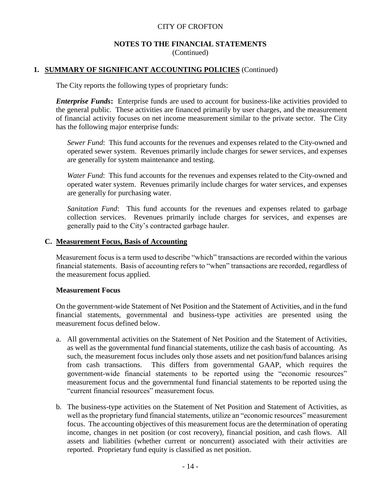#### **NOTES TO THE FINANCIAL STATEMENTS** (Continued)

#### **1. SUMMARY OF SIGNIFICANT ACCOUNTING POLICIES** (Continued)

The City reports the following types of proprietary funds:

*Enterprise Funds***:** Enterprise funds are used to account for business-like activities provided to the general public. These activities are financed primarily by user charges, and the measurement of financial activity focuses on net income measurement similar to the private sector. The City has the following major enterprise funds:

*Sewer Fund*: This fund accounts for the revenues and expenses related to the City-owned and operated sewer system. Revenues primarily include charges for sewer services, and expenses are generally for system maintenance and testing.

*Water Fund*: This fund accounts for the revenues and expenses related to the City-owned and operated water system. Revenues primarily include charges for water services, and expenses are generally for purchasing water.

*Sanitation Fund*: This fund accounts for the revenues and expenses related to garbage collection services. Revenues primarily include charges for services, and expenses are generally paid to the City's contracted garbage hauler.

#### **C. Measurement Focus, Basis of Accounting**

Measurement focus is a term used to describe "which" transactions are recorded within the various financial statements. Basis of accounting refers to "when" transactions are recorded, regardless of the measurement focus applied.

#### **Measurement Focus**

On the government-wide Statement of Net Position and the Statement of Activities, and in the fund financial statements, governmental and business-type activities are presented using the measurement focus defined below.

- a. All governmental activities on the Statement of Net Position and the Statement of Activities, as well as the governmental fund financial statements, utilize the cash basis of accounting. As such, the measurement focus includes only those assets and net position/fund balances arising from cash transactions. This differs from governmental GAAP, which requires the government-wide financial statements to be reported using the "economic resources" measurement focus and the governmental fund financial statements to be reported using the "current financial resources" measurement focus.
- b. The business-type activities on the Statement of Net Position and Statement of Activities, as well as the proprietary fund financial statements, utilize an "economic resources" measurement focus. The accounting objectives of this measurement focus are the determination of operating income, changes in net position (or cost recovery), financial position, and cash flows. All assets and liabilities (whether current or noncurrent) associated with their activities are reported. Proprietary fund equity is classified as net position.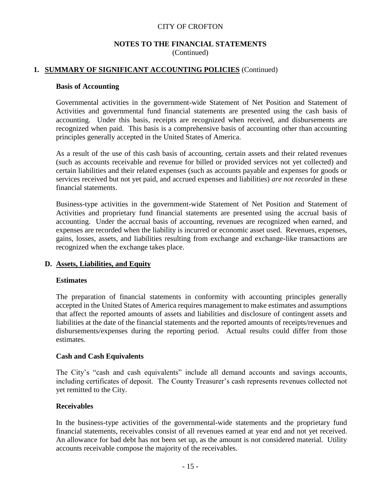#### **NOTES TO THE FINANCIAL STATEMENTS** (Continued)

## **1. SUMMARY OF SIGNIFICANT ACCOUNTING POLICIES** (Continued)

#### **Basis of Accounting**

Governmental activities in the government-wide Statement of Net Position and Statement of Activities and governmental fund financial statements are presented using the cash basis of accounting. Under this basis, receipts are recognized when received, and disbursements are recognized when paid. This basis is a comprehensive basis of accounting other than accounting principles generally accepted in the United States of America.

As a result of the use of this cash basis of accounting, certain assets and their related revenues (such as accounts receivable and revenue for billed or provided services not yet collected) and certain liabilities and their related expenses (such as accounts payable and expenses for goods or services received but not yet paid, and accrued expenses and liabilities) *are not recorded* in these financial statements.

Business-type activities in the government-wide Statement of Net Position and Statement of Activities and proprietary fund financial statements are presented using the accrual basis of accounting. Under the accrual basis of accounting, revenues are recognized when earned, and expenses are recorded when the liability is incurred or economic asset used. Revenues, expenses, gains, losses, assets, and liabilities resulting from exchange and exchange-like transactions are recognized when the exchange takes place.

#### **D. Assets, Liabilities, and Equity**

#### **Estimates**

The preparation of financial statements in conformity with accounting principles generally accepted in the United States of America requires management to make estimates and assumptions that affect the reported amounts of assets and liabilities and disclosure of contingent assets and liabilities at the date of the financial statements and the reported amounts of receipts/revenues and disbursements/expenses during the reporting period. Actual results could differ from those estimates.

#### **Cash and Cash Equivalents**

The City's "cash and cash equivalents" include all demand accounts and savings accounts, including certificates of deposit. The County Treasurer's cash represents revenues collected not yet remitted to the City.

#### **Receivables**

In the business-type activities of the governmental-wide statements and the proprietary fund financial statements, receivables consist of all revenues earned at year end and not yet received. An allowance for bad debt has not been set up, as the amount is not considered material. Utility accounts receivable compose the majority of the receivables.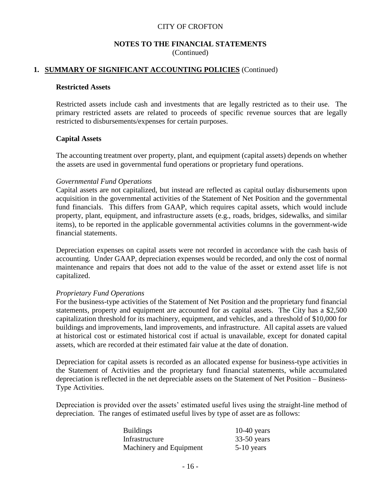#### **NOTES TO THE FINANCIAL STATEMENTS** (Continued)

## **1. SUMMARY OF SIGNIFICANT ACCOUNTING POLICIES** (Continued)

#### **Restricted Assets**

Restricted assets include cash and investments that are legally restricted as to their use. The primary restricted assets are related to proceeds of specific revenue sources that are legally restricted to disbursements/expenses for certain purposes.

#### **Capital Assets**

The accounting treatment over property, plant, and equipment (capital assets) depends on whether the assets are used in governmental fund operations or proprietary fund operations.

#### *Governmental Fund Operations*

Capital assets are not capitalized, but instead are reflected as capital outlay disbursements upon acquisition in the governmental activities of the Statement of Net Position and the governmental fund financials. This differs from GAAP, which requires capital assets, which would include property, plant, equipment, and infrastructure assets (e.g., roads, bridges, sidewalks, and similar items), to be reported in the applicable governmental activities columns in the government-wide financial statements.

Depreciation expenses on capital assets were not recorded in accordance with the cash basis of accounting. Under GAAP, depreciation expenses would be recorded, and only the cost of normal maintenance and repairs that does not add to the value of the asset or extend asset life is not capitalized.

#### *Proprietary Fund Operations*

For the business-type activities of the Statement of Net Position and the proprietary fund financial statements, property and equipment are accounted for as capital assets. The City has a \$2,500 capitalization threshold for its machinery, equipment, and vehicles, and a threshold of \$10,000 for buildings and improvements, land improvements, and infrastructure. All capital assets are valued at historical cost or estimated historical cost if actual is unavailable, except for donated capital assets, which are recorded at their estimated fair value at the date of donation.

Depreciation for capital assets is recorded as an allocated expense for business-type activities in the Statement of Activities and the proprietary fund financial statements, while accumulated depreciation is reflected in the net depreciable assets on the Statement of Net Position – Business-Type Activities.

Depreciation is provided over the assets' estimated useful lives using the straight-line method of depreciation. The ranges of estimated useful lives by type of asset are as follows:

| <b>Buildings</b>        | $10-40$ years |
|-------------------------|---------------|
| Infrastructure          | $33-50$ years |
| Machinery and Equipment | $5-10$ years  |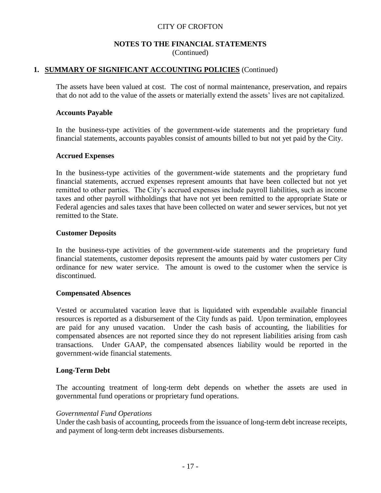#### **NOTES TO THE FINANCIAL STATEMENTS** (Continued)

#### **1. SUMMARY OF SIGNIFICANT ACCOUNTING POLICIES** (Continued)

The assets have been valued at cost. The cost of normal maintenance, preservation, and repairs that do not add to the value of the assets or materially extend the assets' lives are not capitalized.

#### **Accounts Payable**

In the business-type activities of the government-wide statements and the proprietary fund financial statements, accounts payables consist of amounts billed to but not yet paid by the City.

#### **Accrued Expenses**

In the business-type activities of the government-wide statements and the proprietary fund financial statements, accrued expenses represent amounts that have been collected but not yet remitted to other parties. The City's accrued expenses include payroll liabilities, such as income taxes and other payroll withholdings that have not yet been remitted to the appropriate State or Federal agencies and sales taxes that have been collected on water and sewer services, but not yet remitted to the State.

#### **Customer Deposits**

In the business-type activities of the government-wide statements and the proprietary fund financial statements, customer deposits represent the amounts paid by water customers per City ordinance for new water service. The amount is owed to the customer when the service is discontinued.

#### **Compensated Absences**

Vested or accumulated vacation leave that is liquidated with expendable available financial resources is reported as a disbursement of the City funds as paid. Upon termination, employees are paid for any unused vacation. Under the cash basis of accounting, the liabilities for compensated absences are not reported since they do not represent liabilities arising from cash transactions. Under GAAP, the compensated absences liability would be reported in the government-wide financial statements.

#### **Long-Term Debt**

The accounting treatment of long-term debt depends on whether the assets are used in governmental fund operations or proprietary fund operations.

#### *Governmental Fund Operations*

Under the cash basis of accounting, proceeds from the issuance of long-term debt increase receipts, and payment of long-term debt increases disbursements.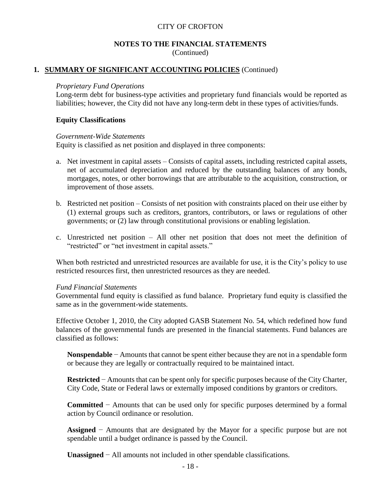#### **NOTES TO THE FINANCIAL STATEMENTS** (Continued)

#### **1. SUMMARY OF SIGNIFICANT ACCOUNTING POLICIES** (Continued)

#### *Proprietary Fund Operations*

Long-term debt for business-type activities and proprietary fund financials would be reported as liabilities; however, the City did not have any long-term debt in these types of activities/funds.

#### **Equity Classifications**

#### *Government-Wide Statements*

Equity is classified as net position and displayed in three components:

- a. Net investment in capital assets Consists of capital assets, including restricted capital assets, net of accumulated depreciation and reduced by the outstanding balances of any bonds, mortgages, notes, or other borrowings that are attributable to the acquisition, construction, or improvement of those assets.
- b. Restricted net position Consists of net position with constraints placed on their use either by (1) external groups such as creditors, grantors, contributors, or laws or regulations of other governments; or (2) law through constitutional provisions or enabling legislation.
- c. Unrestricted net position All other net position that does not meet the definition of "restricted" or "net investment in capital assets."

When both restricted and unrestricted resources are available for use, it is the City's policy to use restricted resources first, then unrestricted resources as they are needed.

#### *Fund Financial Statements*

Governmental fund equity is classified as fund balance. Proprietary fund equity is classified the same as in the government-wide statements.

Effective October 1, 2010, the City adopted GASB Statement No. 54, which redefined how fund balances of the governmental funds are presented in the financial statements. Fund balances are classified as follows:

**Nonspendable** − Amounts that cannot be spent either because they are not in a spendable form or because they are legally or contractually required to be maintained intact.

**Restricted** − Amounts that can be spent only for specific purposes because of the City Charter, City Code, State or Federal laws or externally imposed conditions by grantors or creditors.

**Committed** − Amounts that can be used only for specific purposes determined by a formal action by Council ordinance or resolution.

**Assigned** − Amounts that are designated by the Mayor for a specific purpose but are not spendable until a budget ordinance is passed by the Council.

**Unassigned** − All amounts not included in other spendable classifications.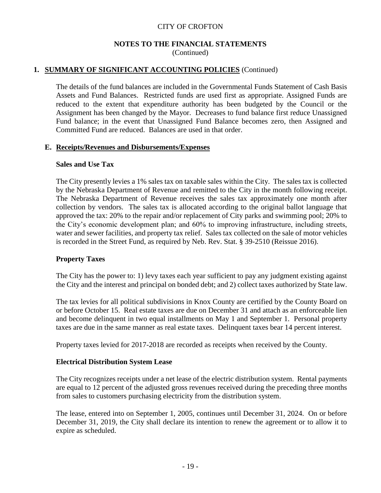#### **NOTES TO THE FINANCIAL STATEMENTS** (Continued)

## **1. SUMMARY OF SIGNIFICANT ACCOUNTING POLICIES** (Continued)

The details of the fund balances are included in the Governmental Funds Statement of Cash Basis Assets and Fund Balances. Restricted funds are used first as appropriate. Assigned Funds are reduced to the extent that expenditure authority has been budgeted by the Council or the Assignment has been changed by the Mayor. Decreases to fund balance first reduce Unassigned Fund balance; in the event that Unassigned Fund Balance becomes zero, then Assigned and Committed Fund are reduced. Balances are used in that order.

#### **E. Receipts/Revenues and Disbursements/Expenses**

#### **Sales and Use Tax**

The City presently levies a 1% sales tax on taxable sales within the City. The sales tax is collected by the Nebraska Department of Revenue and remitted to the City in the month following receipt. The Nebraska Department of Revenue receives the sales tax approximately one month after collection by vendors. The sales tax is allocated according to the original ballot language that approved the tax: 20% to the repair and/or replacement of City parks and swimming pool; 20% to the City's economic development plan; and 60% to improving infrastructure, including streets, water and sewer facilities, and property tax relief. Sales tax collected on the sale of motor vehicles is recorded in the Street Fund, as required by Neb. Rev. Stat. § 39-2510 (Reissue 2016).

#### **Property Taxes**

The City has the power to: 1) levy taxes each year sufficient to pay any judgment existing against the City and the interest and principal on bonded debt; and 2) collect taxes authorized by State law.

The tax levies for all political subdivisions in Knox County are certified by the County Board on or before October 15. Real estate taxes are due on December 31 and attach as an enforceable lien and become delinquent in two equal installments on May 1 and September 1. Personal property taxes are due in the same manner as real estate taxes. Delinquent taxes bear 14 percent interest.

Property taxes levied for 2017-2018 are recorded as receipts when received by the County.

#### **Electrical Distribution System Lease**

The City recognizes receipts under a net lease of the electric distribution system. Rental payments are equal to 12 percent of the adjusted gross revenues received during the preceding three months from sales to customers purchasing electricity from the distribution system.

The lease, entered into on September 1, 2005, continues until December 31, 2024. On or before December 31, 2019, the City shall declare its intention to renew the agreement or to allow it to expire as scheduled.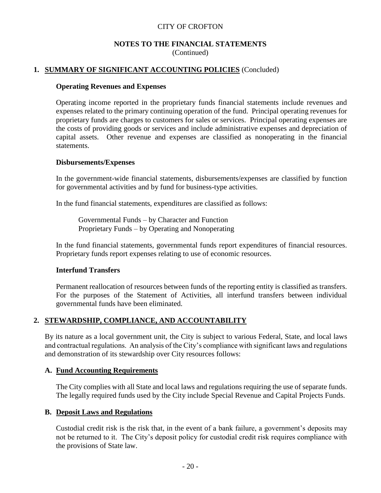#### **NOTES TO THE FINANCIAL STATEMENTS** (Continued)

#### **1. SUMMARY OF SIGNIFICANT ACCOUNTING POLICIES** (Concluded)

#### **Operating Revenues and Expenses**

Operating income reported in the proprietary funds financial statements include revenues and expenses related to the primary continuing operation of the fund. Principal operating revenues for proprietary funds are charges to customers for sales or services. Principal operating expenses are the costs of providing goods or services and include administrative expenses and depreciation of capital assets. Other revenue and expenses are classified as nonoperating in the financial statements.

#### **Disbursements/Expenses**

In the government-wide financial statements, disbursements/expenses are classified by function for governmental activities and by fund for business-type activities.

In the fund financial statements, expenditures are classified as follows:

Governmental Funds – by Character and Function Proprietary Funds – by Operating and Nonoperating

In the fund financial statements, governmental funds report expenditures of financial resources. Proprietary funds report expenses relating to use of economic resources.

#### **Interfund Transfers**

Permanent reallocation of resources between funds of the reporting entity is classified as transfers. For the purposes of the Statement of Activities, all interfund transfers between individual governmental funds have been eliminated.

## **2. STEWARDSHIP, COMPLIANCE, AND ACCOUNTABILITY**

By its nature as a local government unit, the City is subject to various Federal, State, and local laws and contractual regulations. An analysis of the City's compliance with significant laws and regulations and demonstration of its stewardship over City resources follows:

#### **A. Fund Accounting Requirements**

The City complies with all State and local laws and regulations requiring the use of separate funds. The legally required funds used by the City include Special Revenue and Capital Projects Funds.

#### **B. Deposit Laws and Regulations**

Custodial credit risk is the risk that, in the event of a bank failure, a government's deposits may not be returned to it. The City's deposit policy for custodial credit risk requires compliance with the provisions of State law.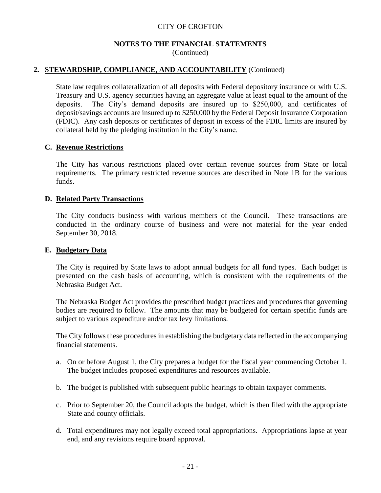#### **NOTES TO THE FINANCIAL STATEMENTS** (Continued)

#### **2. STEWARDSHIP, COMPLIANCE, AND ACCOUNTABILITY** (Continued)

State law requires collateralization of all deposits with Federal depository insurance or with U.S. Treasury and U.S. agency securities having an aggregate value at least equal to the amount of the deposits. The City's demand deposits are insured up to \$250,000, and certificates of deposit/savings accounts are insured up to \$250,000 by the Federal Deposit Insurance Corporation (FDIC). Any cash deposits or certificates of deposit in excess of the FDIC limits are insured by collateral held by the pledging institution in the City's name.

#### **C. Revenue Restrictions**

The City has various restrictions placed over certain revenue sources from State or local requirements. The primary restricted revenue sources are described in Note 1B for the various funds.

#### **D. Related Party Transactions**

The City conducts business with various members of the Council. These transactions are conducted in the ordinary course of business and were not material for the year ended September 30, 2018.

#### **E. Budgetary Data**

The City is required by State laws to adopt annual budgets for all fund types. Each budget is presented on the cash basis of accounting, which is consistent with the requirements of the Nebraska Budget Act.

The Nebraska Budget Act provides the prescribed budget practices and procedures that governing bodies are required to follow. The amounts that may be budgeted for certain specific funds are subject to various expenditure and/or tax levy limitations.

The City follows these procedures in establishing the budgetary data reflected in the accompanying financial statements.

- a. On or before August 1, the City prepares a budget for the fiscal year commencing October 1. The budget includes proposed expenditures and resources available.
- b. The budget is published with subsequent public hearings to obtain taxpayer comments.
- c. Prior to September 20, the Council adopts the budget, which is then filed with the appropriate State and county officials.
- d. Total expenditures may not legally exceed total appropriations. Appropriations lapse at year end, and any revisions require board approval.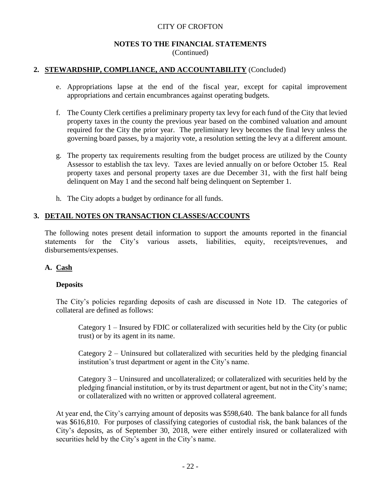#### **NOTES TO THE FINANCIAL STATEMENTS** (Continued)

#### **2. STEWARDSHIP, COMPLIANCE, AND ACCOUNTABILITY** (Concluded)

- e. Appropriations lapse at the end of the fiscal year, except for capital improvement appropriations and certain encumbrances against operating budgets.
- f. The County Clerk certifies a preliminary property tax levy for each fund of the City that levied property taxes in the county the previous year based on the combined valuation and amount required for the City the prior year. The preliminary levy becomes the final levy unless the governing board passes, by a majority vote, a resolution setting the levy at a different amount.
- g. The property tax requirements resulting from the budget process are utilized by the County Assessor to establish the tax levy. Taxes are levied annually on or before October 15. Real property taxes and personal property taxes are due December 31, with the first half being delinquent on May 1 and the second half being delinquent on September 1.
- h. The City adopts a budget by ordinance for all funds.

#### **3. DETAIL NOTES ON TRANSACTION CLASSES/ACCOUNTS**

The following notes present detail information to support the amounts reported in the financial statements for the City's various assets, liabilities, equity, receipts/revenues, and disbursements/expenses.

## **A. Cash**

#### **Deposits**

The City's policies regarding deposits of cash are discussed in Note 1D. The categories of collateral are defined as follows:

Category 1 – Insured by FDIC or collateralized with securities held by the City (or public trust) or by its agent in its name.

Category 2 – Uninsured but collateralized with securities held by the pledging financial institution's trust department or agent in the City's name.

Category 3 – Uninsured and uncollateralized; or collateralized with securities held by the pledging financial institution, or by its trust department or agent, but not in the City's name; or collateralized with no written or approved collateral agreement.

At year end, the City's carrying amount of deposits was \$598,640. The bank balance for all funds was \$616,810. For purposes of classifying categories of custodial risk, the bank balances of the City's deposits, as of September 30, 2018, were either entirely insured or collateralized with securities held by the City's agent in the City's name.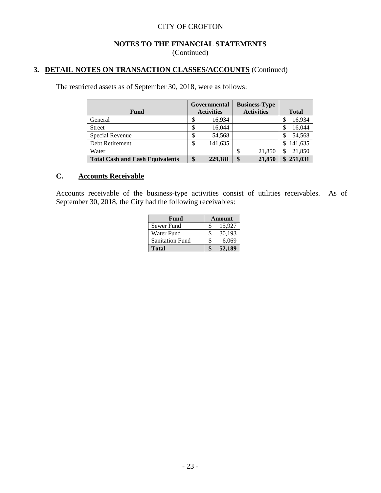#### **NOTES TO THE FINANCIAL STATEMENTS** (Continued)

# **3. DETAIL NOTES ON TRANSACTION CLASSES/ACCOUNTS** (Continued)

The restricted assets as of September 30, 2018, were as follows:

| Fund                                   |   | Governmental<br><b>Business-Type</b><br><b>Activities</b><br><b>Activities</b> |  |        |    | <b>Total</b> |
|----------------------------------------|---|--------------------------------------------------------------------------------|--|--------|----|--------------|
| General                                |   | 16,934                                                                         |  |        |    | 16,934       |
| <b>Street</b>                          |   | 16,044                                                                         |  |        |    | 16,044       |
| Special Revenue                        |   | 54,568                                                                         |  |        |    | 54,568       |
| Debt Retirement                        | S | 141,635                                                                        |  |        | S  | 141,635      |
| Water                                  |   |                                                                                |  | 21,850 |    | 21,850       |
| <b>Total Cash and Cash Equivalents</b> |   | 229,181                                                                        |  | 21,850 | \$ | 251,031      |

# **C. Accounts Receivable**

Accounts receivable of the business-type activities consist of utilities receivables. As of September 30, 2018, the City had the following receivables:

| Fund                   | Amount |        |  |  |
|------------------------|--------|--------|--|--|
| Sewer Fund             |        | 15,927 |  |  |
| Water Fund             |        | 30,193 |  |  |
| <b>Sanitation Fund</b> |        | 6,069  |  |  |
| Total                  |        | 52.189 |  |  |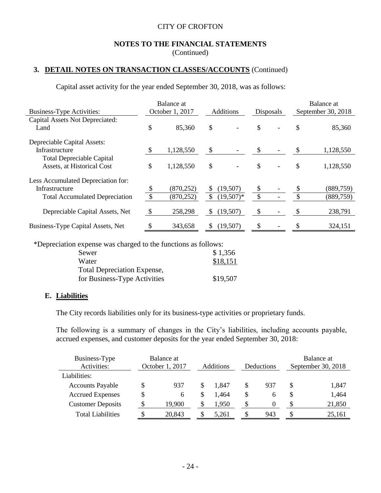#### **NOTES TO THE FINANCIAL STATEMENTS** (Continued)

## **3. DETAIL NOTES ON TRANSACTION CLASSES/ACCOUNTS** (Continued)

Capital asset activity for the year ended September 30, 2018, was as follows:

|                                       | Balance at    |                 |                  |             |               | Balance at     |                    |            |
|---------------------------------------|---------------|-----------------|------------------|-------------|---------------|----------------|--------------------|------------|
| <b>Business-Type Activities:</b>      |               | October 1, 2017 | <b>Additions</b> |             | Disposals     |                | September 30, 2018 |            |
| Capital Assets Not Depreciated:       |               |                 |                  |             |               |                |                    |            |
| Land                                  | \$            | 85,360          | \$               |             | \$            |                | \$                 | 85,360     |
| Depreciable Capital Assets:           |               |                 |                  |             |               |                |                    |            |
| Infrastructure                        |               | 1,128,550       | \$               |             | \$            |                | S                  | 1,128,550  |
| <b>Total Depreciable Capital</b>      |               |                 |                  |             |               |                |                    |            |
| Assets, at Historical Cost            | \$            | 1,128,550       | \$               |             | \$            | $\overline{a}$ | \$                 | 1,128,550  |
| Less Accumulated Depreciation for:    |               |                 |                  |             |               |                |                    |            |
| Infrastructure                        | \$            | (870, 252)      | \$               | (19,507)    | <sup>S</sup>  |                |                    | (889, 759) |
| <b>Total Accumulated Depreciation</b> | $\mathcal{S}$ | (870, 252)      | $\mathcal{S}$    | $(19,507)*$ | $\mathcal{S}$ |                | $\mathcal{S}$      | (889, 759) |
| Depreciable Capital Assets, Net       | $\mathcal{S}$ | 258,298         | \$               | (19,507)    | \$            |                |                    | 238,791    |
| Business-Type Capital Assets, Net     | S             | 343,658         | \$.              | (19,507)    | S             |                |                    | 324,151    |

\*Depreciation expense was charged to the functions as follows:

| Sewer                              | \$1,356  |
|------------------------------------|----------|
| Water                              | \$18,151 |
| <b>Total Depreciation Expense,</b> |          |
| for Business-Type Activities       | \$19,507 |

#### **E. Liabilities**

The City records liabilities only for its business-type activities or proprietary funds.

The following is a summary of changes in the City's liabilities, including accounts payable, accrued expenses, and customer deposits for the year ended September 30, 2018:

| Business-Type<br>Activities: | Balance at<br>October 1, 2017 |        | <b>Additions</b> |       | Balance at<br>September 30, 2018<br>Deductions |     |   |        |
|------------------------------|-------------------------------|--------|------------------|-------|------------------------------------------------|-----|---|--------|
| Liabilities:                 |                               |        |                  |       |                                                |     |   |        |
| <b>Accounts Payable</b>      | S                             | 937    |                  | 1.847 | \$                                             | 937 |   | 1,847  |
| <b>Accrued Expenses</b>      | \$                            | 6      | S                | 1.464 | \$                                             | h   |   | 1,464  |
| <b>Customer Deposits</b>     |                               | 19,900 | S                | 1,950 | S                                              | 0   | S | 21,850 |
| <b>Total Liabilities</b>     |                               | 20.843 |                  | 5.261 | S                                              | 943 |   | 25,161 |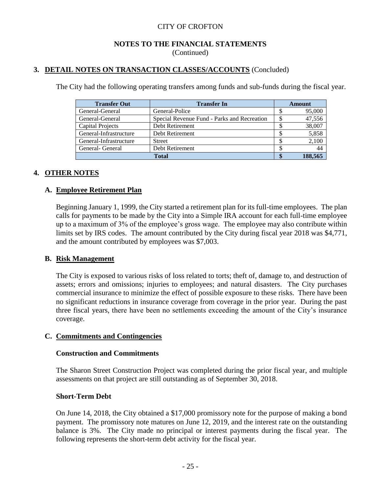#### **NOTES TO THE FINANCIAL STATEMENTS** (Continued)

## **3. DETAIL NOTES ON TRANSACTION CLASSES/ACCOUNTS** (Concluded)

The City had the following operating transfers among funds and sub-funds during the fiscal year.

| <b>Transfer Out</b>    | <b>Transfer In</b>                          | Amount |         |  |
|------------------------|---------------------------------------------|--------|---------|--|
| General-General        | General-Police                              |        | 95,000  |  |
| General-General        | Special Revenue Fund - Parks and Recreation |        | 47,556  |  |
| Capital Projects       | Debt Retirement                             |        | 38,007  |  |
| General-Infrastructure | Debt Retirement                             |        | 5,858   |  |
| General-Infrastructure | <b>Street</b>                               |        | 2,100   |  |
| General- General       | Debt Retirement                             |        |         |  |
|                        | <b>Total</b>                                |        | 188.565 |  |

#### **4. OTHER NOTES**

#### **A. Employee Retirement Plan**

Beginning January 1, 1999, the City started a retirement plan for its full-time employees. The plan calls for payments to be made by the City into a Simple IRA account for each full-time employee up to a maximum of 3% of the employee's gross wage. The employee may also contribute within limits set by IRS codes. The amount contributed by the City during fiscal year 2018 was \$4,771, and the amount contributed by employees was \$7,003.

#### **B. Risk Management**

The City is exposed to various risks of loss related to torts; theft of, damage to, and destruction of assets; errors and omissions; injuries to employees; and natural disasters. The City purchases commercial insurance to minimize the effect of possible exposure to these risks. There have been no significant reductions in insurance coverage from coverage in the prior year. During the past three fiscal years, there have been no settlements exceeding the amount of the City's insurance coverage.

#### **C. Commitments and Contingencies**

#### **Construction and Commitments**

The Sharon Street Construction Project was completed during the prior fiscal year, and multiple assessments on that project are still outstanding as of September 30, 2018.

#### **Short-Term Debt**

On June 14, 2018, the City obtained a \$17,000 promissory note for the purpose of making a bond payment. The promissory note matures on June 12, 2019, and the interest rate on the outstanding balance is 3%. The City made no principal or interest payments during the fiscal year. The following represents the short-term debt activity for the fiscal year.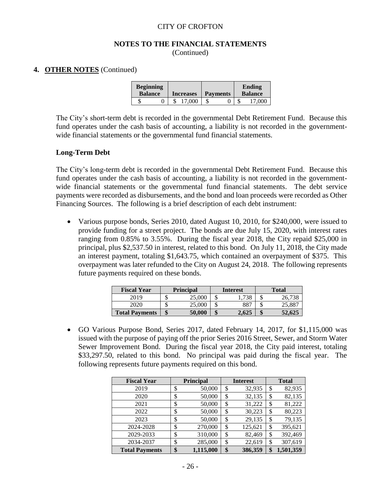#### **NOTES TO THE FINANCIAL STATEMENTS** (Continued)

#### **4. OTHER NOTES** (Continued)

| <b>Beginning</b><br><b>Balance</b> |  | <b>Increases</b> | <b>Payments</b> |  | Ending<br><b>Balance</b> |
|------------------------------------|--|------------------|-----------------|--|--------------------------|
|                                    |  | 17.000           |                 |  | 17.000                   |

The City's short-term debt is recorded in the governmental Debt Retirement Fund. Because this fund operates under the cash basis of accounting, a liability is not recorded in the governmentwide financial statements or the governmental fund financial statements.

#### **Long-Term Debt**

The City's long-term debt is recorded in the governmental Debt Retirement Fund. Because this fund operates under the cash basis of accounting, a liability is not recorded in the governmentwide financial statements or the governmental fund financial statements. The debt service payments were recorded as disbursements, and the bond and loan proceeds were recorded as Other Financing Sources. The following is a brief description of each debt instrument:

• Various purpose bonds, Series 2010, dated August 10, 2010, for \$240,000, were issued to provide funding for a street project. The bonds are due July 15, 2020, with interest rates ranging from 0.85% to 3.55%. During the fiscal year 2018, the City repaid \$25,000 in principal, plus \$2,537.50 in interest, related to this bond. On July 11, 2018, the City made an interest payment, totaling \$1,643.75, which contained an overpayment of \$375. This overpayment was later refunded to the City on August 24, 2018. The following represents future payments required on these bonds.

| <b>Fiscal Year</b>    |    | <b>Principal</b> |    | <b>Interest</b> |     | <b>Total</b> |
|-----------------------|----|------------------|----|-----------------|-----|--------------|
| 2019                  |    | 25,000           | мD | 738             | ۰D  |              |
|                       |    | 25,000           | ъĐ | 887             | ۰D  | 25,887       |
| <b>Total Payments</b> | ۱D | 50,000           | J  | 2.625           | ъĐ. | 52,625       |

 GO Various Purpose Bond, Series 2017, dated February 14, 2017, for \$1,115,000 was issued with the purpose of paying off the prior Series 2016 Street, Sewer, and Storm Water Sewer Improvement Bond. During the fiscal year 2018, the City paid interest, totaling \$33,297.50, related to this bond. No principal was paid during the fiscal year. The following represents future payments required on this bond.

| <b>Fiscal Year</b>    | <b>Principal</b> |           | <b>Interest</b> | <b>Total</b>  |
|-----------------------|------------------|-----------|-----------------|---------------|
| 2019                  | \$               | 50,000    | \$<br>32,935    | \$<br>82,935  |
| 2020                  | \$               | 50,000    | \$<br>32,135    | \$<br>82,135  |
| 2021                  | \$               | 50,000    | \$<br>31,222    | \$<br>81,222  |
| 2022                  | \$               | 50,000    | \$<br>30,223    | \$<br>80,223  |
| 2023                  | \$               | 50,000    | \$<br>29,135    | \$<br>79,135  |
| 2024-2028             | \$               | 270,000   | \$<br>125,621   | \$<br>395,621 |
| 2029-2033             | \$               | 310,000   | \$<br>82,469    | \$<br>392,469 |
| 2034-2037             | \$               | 285,000   | \$<br>22,619    | \$<br>307,619 |
| <b>Total Payments</b> | \$               | 1,115,000 | \$<br>386,359   | 1,501,359     |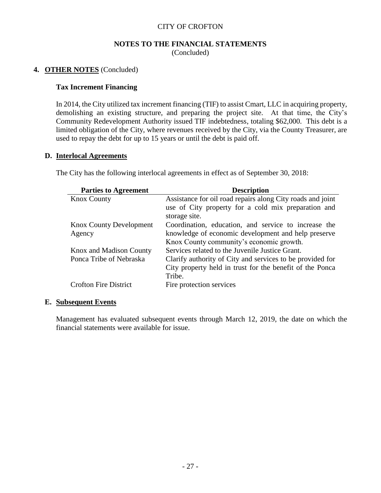#### **NOTES TO THE FINANCIAL STATEMENTS** (Concluded)

#### **4. OTHER NOTES** (Concluded)

#### **Tax Increment Financing**

In 2014, the City utilized tax increment financing (TIF) to assist Cmart, LLC in acquiring property, demolishing an existing structure, and preparing the project site. At that time, the City's Community Redevelopment Authority issued TIF indebtedness, totaling \$62,000. This debt is a limited obligation of the City, where revenues received by the City, via the County Treasurer, are used to repay the debt for up to 15 years or until the debt is paid off.

#### **D. Interlocal Agreements**

| <b>Parties to Agreement</b>    | <b>Description</b>                                         |
|--------------------------------|------------------------------------------------------------|
| <b>Knox County</b>             | Assistance for oil road repairs along City roads and joint |
|                                | use of City property for a cold mix preparation and        |
|                                | storage site.                                              |
| <b>Knox County Development</b> | Coordination, education, and service to increase the       |
| Agency                         | knowledge of economic development and help preserve        |
|                                | Knox County community's economic growth.                   |
| Knox and Madison County        | Services related to the Juvenile Justice Grant.            |
| Ponca Tribe of Nebraska        | Clarify authority of City and services to be provided for  |
|                                | City property held in trust for the benefit of the Ponca   |
|                                | Tribe.                                                     |
| <b>Crofton Fire District</b>   | Fire protection services                                   |

The City has the following interlocal agreements in effect as of September 30, 2018:

#### **E. Subsequent Events**

Management has evaluated subsequent events through March 12, 2019, the date on which the financial statements were available for issue.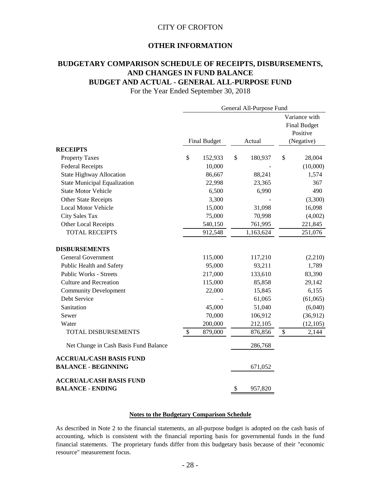#### **OTHER INFORMATION**

## **BUDGETARY COMPARISON SCHEDULE OF RECEIPTS, DISBURSEMENTS, AND CHANGES IN FUND BALANCE BUDGET AND ACTUAL - GENERAL ALL-PURPOSE FUND**

For the Year Ended September 30, 2018

|                                       | General All-Purpose Fund |                     |    |           |    |                                                  |
|---------------------------------------|--------------------------|---------------------|----|-----------|----|--------------------------------------------------|
|                                       |                          |                     |    |           |    | Variance with<br><b>Final Budget</b><br>Positive |
|                                       |                          | <b>Final Budget</b> |    | Actual    |    | (Negative)                                       |
| <b>RECEIPTS</b>                       |                          |                     |    |           |    |                                                  |
| <b>Property Taxes</b>                 | \$                       | 152,933             | \$ | 180,937   | \$ | 28,004                                           |
| <b>Federal Receipts</b>               |                          | 10,000              |    |           |    | (10,000)                                         |
| <b>State Highway Allocation</b>       |                          | 86,667              |    | 88,241    |    | 1,574                                            |
| <b>State Municipal Equalization</b>   |                          | 22,998              |    | 23,365    |    | 367                                              |
| <b>State Motor Vehicle</b>            |                          | 6,500               |    | 6,990     |    | 490                                              |
| Other State Receipts                  |                          | 3,300               |    |           |    | (3,300)                                          |
| Local Motor Vehicle                   |                          | 15,000              |    | 31,098    |    | 16,098                                           |
| <b>City Sales Tax</b>                 |                          | 75,000              |    | 70,998    |    | (4,002)                                          |
| Other Local Receipts                  |                          | 540,150             |    | 761,995   |    | 221,845                                          |
| <b>TOTAL RECEIPTS</b>                 |                          | 912,548             |    | 1,163,624 |    | 251,076                                          |
| <b>DISBURSEMENTS</b>                  |                          |                     |    |           |    |                                                  |
| <b>General Government</b>             |                          | 115,000             |    | 117,210   |    | (2,210)                                          |
| Public Health and Safety              |                          | 95,000              |    | 93,211    |    | 1,789                                            |
| <b>Public Works - Streets</b>         |                          | 217,000             |    | 133,610   |    | 83,390                                           |
| <b>Culture and Recreation</b>         |                          | 115,000             |    | 85,858    |    | 29,142                                           |
| <b>Community Development</b>          |                          | 22,000              |    | 15,845    |    | 6,155                                            |
| Debt Service                          |                          |                     |    | 61,065    |    | (61,065)                                         |
| Sanitation                            |                          | 45,000              |    | 51,040    |    | (6,040)                                          |
| Sewer                                 |                          | 70,000              |    | 106,912   |    | (36,912)                                         |
| Water                                 |                          | 200,000             |    | 212,105   |    | (12,105)                                         |
| <b>TOTAL DISBURSEMENTS</b>            | $\$\,$                   | 879,000             |    | 876,856   | \$ | 2,144                                            |
| Net Change in Cash Basis Fund Balance |                          |                     |    | 286,768   |    |                                                  |
| <b>ACCRUAL/CASH BASIS FUND</b>        |                          |                     |    |           |    |                                                  |
| <b>BALANCE - BEGINNING</b>            |                          |                     |    | 671,052   |    |                                                  |
| <b>ACCRUAL/CASH BASIS FUND</b>        |                          |                     |    |           |    |                                                  |
| <b>BALANCE - ENDING</b>               |                          |                     | \$ | 957,820   |    |                                                  |

#### **Notes to the Budgetary Comparison Schedule**

As described in Note 2 to the financial statements, an all-purpose budget is adopted on the cash basis of accounting, which is consistent with the financial reporting basis for governmental funds in the fund financial statements. The proprietary funds differ from this budgetary basis because of their "economic resource" measurement focus.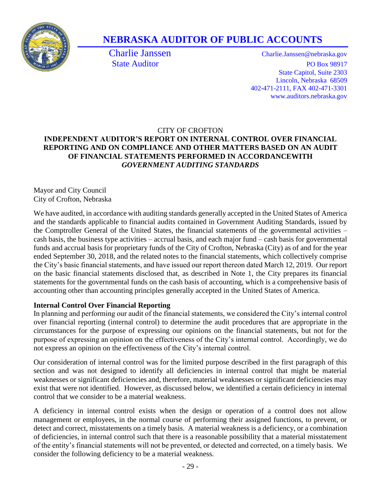

# **NEBRASKA AUDITOR OF PUBLIC ACCOUNTS**

Charlie Janssen Charlie.Janssen@nebraska.gov State Auditor PO Box 98917 State Capitol, Suite 2303 Lincoln, Nebraska 68509 402-471-2111, FAX 402-471-3301 www.auditors.nebraska.gov

## CITY OF CROFTON **INDEPENDENT AUDITOR'S REPORT ON INTERNAL CONTROL OVER FINANCIAL REPORTING AND ON COMPLIANCE AND OTHER MATTERS BASED ON AN AUDIT OF FINANCIAL STATEMENTS PERFORMED IN ACCORDANCEWITH** *GOVERNMENT AUDITING STANDARDS*

Mayor and City Council City of Crofton, Nebraska

We have audited, in accordance with auditing standards generally accepted in the United States of America and the standards applicable to financial audits contained in Government Auditing Standards, issued by the Comptroller General of the United States, the financial statements of the governmental activities – cash basis, the business type activities – accrual basis, and each major fund – cash basis for governmental funds and accrual basis for proprietary funds of the City of Crofton, Nebraska (City) as of and for the year ended September 30, 2018, and the related notes to the financial statements, which collectively comprise the City's basic financial statements, and have issued our report thereon dated March 12, 2019. Our report on the basic financial statements disclosed that, as described in Note 1, the City prepares its financial statements for the governmental funds on the cash basis of accounting, which is a comprehensive basis of accounting other than accounting principles generally accepted in the United States of America.

# **Internal Control Over Financial Reporting**

In planning and performing our audit of the financial statements, we considered the City's internal control over financial reporting (internal control) to determine the audit procedures that are appropriate in the circumstances for the purpose of expressing our opinions on the financial statements, but not for the purpose of expressing an opinion on the effectiveness of the City's internal control. Accordingly, we do not express an opinion on the effectiveness of the City's internal control.

Our consideration of internal control was for the limited purpose described in the first paragraph of this section and was not designed to identify all deficiencies in internal control that might be material weaknesses or significant deficiencies and, therefore, material weaknesses or significant deficiencies may exist that were not identified. However, as discussed below, we identified a certain deficiency in internal control that we consider to be a material weakness.

A deficiency in internal control exists when the design or operation of a control does not allow management or employees, in the normal course of performing their assigned functions, to prevent, or detect and correct, misstatements on a timely basis. A material weakness is a deficiency, or a combination of deficiencies, in internal control such that there is a reasonable possibility that a material misstatement of the entity's financial statements will not be prevented, or detected and corrected, on a timely basis. We consider the following deficiency to be a material weakness.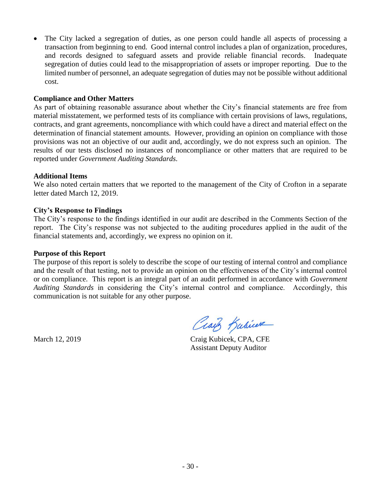The City lacked a segregation of duties, as one person could handle all aspects of processing a transaction from beginning to end. Good internal control includes a plan of organization, procedures, and records designed to safeguard assets and provide reliable financial records. Inadequate segregation of duties could lead to the misappropriation of assets or improper reporting. Due to the limited number of personnel, an adequate segregation of duties may not be possible without additional cost.

#### **Compliance and Other Matters**

As part of obtaining reasonable assurance about whether the City's financial statements are free from material misstatement, we performed tests of its compliance with certain provisions of laws, regulations, contracts, and grant agreements, noncompliance with which could have a direct and material effect on the determination of financial statement amounts. However, providing an opinion on compliance with those provisions was not an objective of our audit and, accordingly, we do not express such an opinion. The results of our tests disclosed no instances of noncompliance or other matters that are required to be reported under *Government Auditing Standards.*

#### **Additional Items**

We also noted certain matters that we reported to the management of the City of Crofton in a separate letter dated March 12, 2019.

#### **City's Response to Findings**

The City's response to the findings identified in our audit are described in the Comments Section of the report. The City's response was not subjected to the auditing procedures applied in the audit of the financial statements and, accordingly, we express no opinion on it.

#### **Purpose of this Report**

The purpose of this report is solely to describe the scope of our testing of internal control and compliance and the result of that testing, not to provide an opinion on the effectiveness of the City's internal control or on compliance. This report is an integral part of an audit performed in accordance with *Government Auditing Standards* in considering the City's internal control and compliance. Accordingly, this communication is not suitable for any other purpose.

Craig Kubicere

March 12, 2019 Craig Kubicek, CPA, CFE Assistant Deputy Auditor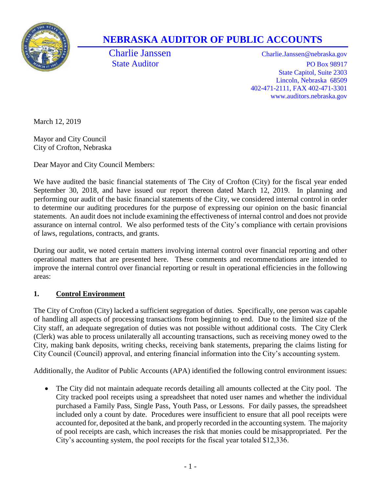

# **NEBRASKA AUDITOR OF PUBLIC ACCOUNTS**

Charlie Janssen Charlie.Janssen@nebraska.gov State Auditor PO Box 98917 State Capitol, Suite 2303 Lincoln, Nebraska 68509 402-471-2111, FAX 402-471-3301 www.auditors.nebraska.gov

March 12, 2019

Mayor and City Council City of Crofton, Nebraska

Dear Mayor and City Council Members:

We have audited the basic financial statements of The City of Crofton (City) for the fiscal year ended September 30, 2018, and have issued our report thereon dated March 12, 2019. In planning and performing our audit of the basic financial statements of the City, we considered internal control in order to determine our auditing procedures for the purpose of expressing our opinion on the basic financial statements. An audit does not include examining the effectiveness of internal control and does not provide assurance on internal control. We also performed tests of the City's compliance with certain provisions of laws, regulations, contracts, and grants.

During our audit, we noted certain matters involving internal control over financial reporting and other operational matters that are presented here. These comments and recommendations are intended to improve the internal control over financial reporting or result in operational efficiencies in the following areas:

# **1. Control Environment**

The City of Crofton (City) lacked a sufficient segregation of duties. Specifically, one person was capable of handling all aspects of processing transactions from beginning to end. Due to the limited size of the City staff, an adequate segregation of duties was not possible without additional costs. The City Clerk (Clerk) was able to process unilaterally all accounting transactions, such as receiving money owed to the City, making bank deposits, writing checks, receiving bank statements, preparing the claims listing for City Council (Council) approval, and entering financial information into the City's accounting system.

Additionally, the Auditor of Public Accounts (APA) identified the following control environment issues:

 The City did not maintain adequate records detailing all amounts collected at the City pool. The City tracked pool receipts using a spreadsheet that noted user names and whether the individual purchased a Family Pass, Single Pass, Youth Pass, or Lessons. For daily passes, the spreadsheet included only a count by date. Procedures were insufficient to ensure that all pool receipts were accounted for, deposited at the bank, and properly recorded in the accounting system. The majority of pool receipts are cash, which increases the risk that monies could be misappropriated. Per the City's accounting system, the pool receipts for the fiscal year totaled \$12,336.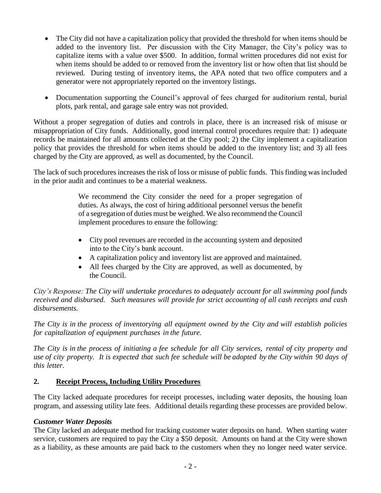- The City did not have a capitalization policy that provided the threshold for when items should be added to the inventory list. Per discussion with the City Manager, the City's policy was to capitalize items with a value over \$500. In addition, formal written procedures did not exist for when items should be added to or removed from the inventory list or how often that list should be reviewed. During testing of inventory items, the APA noted that two office computers and a generator were not appropriately reported on the inventory listings.
- Documentation supporting the Council's approval of fees charged for auditorium rental, burial plots, park rental, and garage sale entry was not provided.

Without a proper segregation of duties and controls in place, there is an increased risk of misuse or misappropriation of City funds. Additionally, good internal control procedures require that: 1) adequate records be maintained for all amounts collected at the City pool; 2) the City implement a capitalization policy that provides the threshold for when items should be added to the inventory list; and 3) all fees charged by the City are approved, as well as documented, by the Council.

The lack of such procedures increases the risk of loss or misuse of public funds. This finding was included in the prior audit and continues to be a material weakness.

> We recommend the City consider the need for a proper segregation of duties. As always, the cost of hiring additional personnel versus the benefit of a segregation of duties must be weighed. We also recommend the Council implement procedures to ensure the following:

- City pool revenues are recorded in the accounting system and deposited into to the City's bank account.
- A capitalization policy and inventory list are approved and maintained.
- All fees charged by the City are approved, as well as documented, by the Council.

*City's Response: The City will undertake procedures to adequately account for all swimming pool funds received and disbursed. Such measures will provide for strict accounting of all cash receipts and cash disbursements.*

*The City is in the process of inventorying all equipment owned by the City and will establish policies for capitalization of equipment purchases in the future.*

The City is in the process of initiating a fee schedule for all City services, rental of city property and use of city property. It is expected that such fee schedule will be adopted by the City within 90 days of *this letter.*

## **2. Receipt Process, Including Utility Procedures**

The City lacked adequate procedures for receipt processes, including water deposits, the housing loan program, and assessing utility late fees. Additional details regarding these processes are provided below.

## *Customer Water Deposits*

The City lacked an adequate method for tracking customer water deposits on hand. When starting water service, customers are required to pay the City a \$50 deposit. Amounts on hand at the City were shown as a liability, as these amounts are paid back to the customers when they no longer need water service.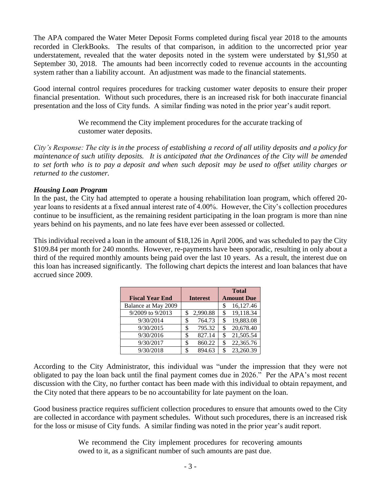The APA compared the Water Meter Deposit Forms completed during fiscal year 2018 to the amounts recorded in ClerkBooks. The results of that comparison, in addition to the uncorrected prior year understatement, revealed that the water deposits noted in the system were understated by \$1,950 at September 30, 2018. The amounts had been incorrectly coded to revenue accounts in the accounting system rather than a liability account. An adjustment was made to the financial statements.

Good internal control requires procedures for tracking customer water deposits to ensure their proper financial presentation. Without such procedures, there is an increased risk for both inaccurate financial presentation and the loss of City funds. A similar finding was noted in the prior year's audit report.

> We recommend the City implement procedures for the accurate tracking of customer water deposits.

City's Response: The city is in the process of establishing a record of all utility deposits and a policy for *maintenance of such utility deposits. It is anticipated that the Ordinances of the City will be amended* to set forth who is to pay a deposit and when such deposit may be used to offset utility charges or *returned to the customer.*

#### *Housing Loan Program*

In the past, the City had attempted to operate a housing rehabilitation loan program, which offered 20 year loans to residents at a fixed annual interest rate of 4.00%. However, the City's collection procedures continue to be insufficient, as the remaining resident participating in the loan program is more than nine years behind on his payments, and no late fees have ever been assessed or collected.

This individual received a loan in the amount of \$18,126 in April 2006, and was scheduled to pay the City \$109.84 per month for 240 months. However, re-payments have been sporadic, resulting in only about a third of the required monthly amounts being paid over the last 10 years. As a result, the interest due on this loan has increased significantly. The following chart depicts the interest and loan balances that have accrued since 2009.

|                        |    |                 |     | <b>Total</b>      |
|------------------------|----|-----------------|-----|-------------------|
| <b>Fiscal Year End</b> |    | <b>Interest</b> |     | <b>Amount Due</b> |
| Balance at May 2009    |    |                 | \$  | 16,127.46         |
| 9/2009 to 9/2013       | S  | 2,990.88        | \$  | 19,118.34         |
| 9/30/2014              | \$ | 764.73          | \$  | 19,883.08         |
| 9/30/2015              | \$ | 795.32          | \$  | 20,678.40         |
| 9/30/2016              | \$ | 827.14          | \$  | 21,505.54         |
| 9/30/2017              | \$ | 860.22          | \$  | 22,365.76         |
| 9/30/2018              | ς  | 894.63          | \$. | 23,260.39         |

According to the City Administrator, this individual was "under the impression that they were not obligated to pay the loan back until the final payment comes due in 2026." Per the APA's most recent discussion with the City, no further contact has been made with this individual to obtain repayment, and the City noted that there appears to be no accountability for late payment on the loan.

Good business practice requires sufficient collection procedures to ensure that amounts owed to the City are collected in accordance with payment schedules. Without such procedures, there is an increased risk for the loss or misuse of City funds. A similar finding was noted in the prior year's audit report.

> We recommend the City implement procedures for recovering amounts owed to it, as a significant number of such amounts are past due.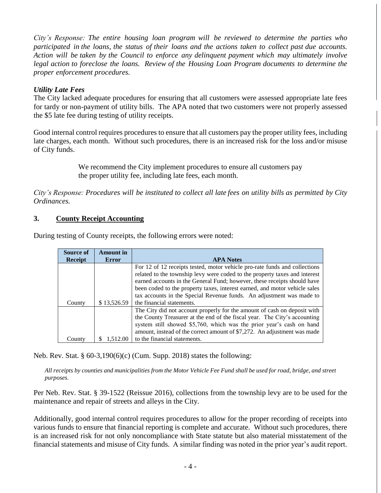*City's Response: The entire housing loan program will be reviewed to determine the parties who* participated in the loans, the status of their loans and the actions taken to collect past due accounts. *Action will be taken by the Council to enforce any delinquent payment which may ultimately involve legal action to foreclose the loans. Review of the Housing Loan Program documents to determine the proper enforcement procedures.*

## *Utility Late Fees*

The City lacked adequate procedures for ensuring that all customers were assessed appropriate late fees for tardy or non-payment of utility bills. The APA noted that two customers were not properly assessed the \$5 late fee during testing of utility receipts.

Good internal control requires procedures to ensure that all customers pay the proper utility fees, including late charges, each month. Without such procedures, there is an increased risk for the loss and/or misuse of City funds.

> We recommend the City implement procedures to ensure all customers pay the proper utility fee, including late fees, each month.

*City's Response: Procedures will be instituted to collect all late fees on utility bills as permitted by City Ordinances.*

## **3. County Receipt Accounting**

| Source of      | <b>Amount</b> in |                                                                                                                                                                                                                                                                                                                                                                                            |
|----------------|------------------|--------------------------------------------------------------------------------------------------------------------------------------------------------------------------------------------------------------------------------------------------------------------------------------------------------------------------------------------------------------------------------------------|
| <b>Receipt</b> | <b>Error</b>     | <b>APA Notes</b>                                                                                                                                                                                                                                                                                                                                                                           |
|                |                  | For 12 of 12 receipts tested, motor vehicle pro-rate funds and collections<br>related to the township levy were coded to the property taxes and interest<br>earned accounts in the General Fund; however, these receipts should have<br>been coded to the property taxes, interest earned, and motor vehicle sales<br>tax accounts in the Special Revenue funds. An adjustment was made to |
| County         | \$13,526.59      | the financial statements.                                                                                                                                                                                                                                                                                                                                                                  |
|                |                  | The City did not account properly for the amount of cash on deposit with<br>the County Treasurer at the end of the fiscal year. The City's accounting<br>system still showed \$5,760, which was the prior year's cash on hand<br>amount, instead of the correct amount of \$7,272. An adjustment was made                                                                                  |
| County         | 1.512.00         | to the financial statements.                                                                                                                                                                                                                                                                                                                                                               |

During testing of County receipts, the following errors were noted:

Neb. Rev. Stat. § 60-3,190(6)(c) (Cum. Supp. 2018) states the following:

*All receipts by counties and municipalities from the Motor Vehicle Fee Fund shall be used for road, bridge, and street purposes.*

Per Neb. Rev. Stat. § 39-1522 (Reissue 2016), collections from the township levy are to be used for the maintenance and repair of streets and alleys in the City.

Additionally, good internal control requires procedures to allow for the proper recording of receipts into various funds to ensure that financial reporting is complete and accurate. Without such procedures, there is an increased risk for not only noncompliance with State statute but also material misstatement of the financial statements and misuse of City funds. A similar finding was noted in the prior year's audit report.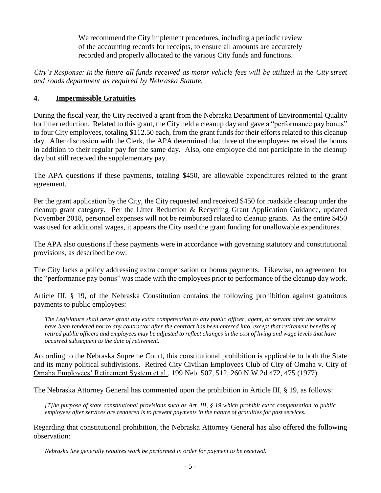We recommend the City implement procedures, including a periodic review of the accounting records for receipts, to ensure all amounts are accurately recorded and properly allocated to the various City funds and functions.

City's Response: In the future all funds received as motor vehicle fees will be utilized in the City street *and roads department as required by Nebraska Statute.*

# **4. Impermissible Gratuities**

During the fiscal year, the City received a grant from the Nebraska Department of Environmental Quality for litter reduction. Related to this grant, the City held a cleanup day and gave a "performance pay bonus" to four City employees, totaling \$112.50 each, from the grant funds for their efforts related to this cleanup day. After discussion with the Clerk, the APA determined that three of the employees received the bonus in addition to their regular pay for the same day. Also, one employee did not participate in the cleanup day but still received the supplementary pay.

The APA questions if these payments, totaling \$450, are allowable expenditures related to the grant agreement.

Per the grant application by the City, the City requested and received \$450 for roadside cleanup under the cleanup grant category. Per the Litter Reduction & Recycling Grant Application Guidance, updated November 2018, personnel expenses will not be reimbursed related to cleanup grants. As the entire \$450 was used for additional wages, it appears the City used the grant funding for unallowable expenditures.

The APA also questions if these payments were in accordance with governing statutory and constitutional provisions, as described below.

The City lacks a policy addressing extra compensation or bonus payments. Likewise, no agreement for the "performance pay bonus" was made with the employees prior to performance of the cleanup day work.

Article III, § 19, of the Nebraska Constitution contains the following prohibition against gratuitous payments to public employees:

*The Legislature shall never grant any extra compensation to any public officer, agent, or servant after the services have been rendered nor to any contractor after the contract has been entered into, except that retirement benefits of retired public officers and employees may be adjusted to reflect changes in the cost of living and wage levels that have occurred subsequent to the date of retirement.*

According to the Nebraska Supreme Court, this constitutional prohibition is applicable to both the State and its many political subdivisions. Retired City Civilian Employees Club of City of Omaha v. City of Omaha Employees' Retirement System et al., 199 Neb. 507, 512, 260 N.W.2d 472, 475 (1977).

The Nebraska Attorney General has commented upon the prohibition in Article III, § 19, as follows:

*[T]he purpose of state constitutional provisions such as Art. III, § 19 which prohibit extra compensation to public employees after services are rendered is to prevent payments in the nature of gratuities for past services.* 

Regarding that constitutional prohibition, the Nebraska Attorney General has also offered the following observation:

*Nebraska law generally requires work be performed in order for payment to be received.*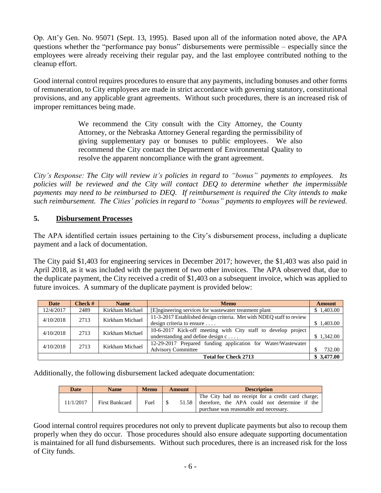Op. Att'y Gen. No. 95071 (Sept. 13, 1995). Based upon all of the information noted above, the APA questions whether the "performance pay bonus" disbursements were permissible – especially since the employees were already receiving their regular pay, and the last employee contributed nothing to the cleanup effort.

Good internal control requires procedures to ensure that any payments, including bonuses and other forms of remuneration, to City employees are made in strict accordance with governing statutory, constitutional provisions, and any applicable grant agreements. Without such procedures, there is an increased risk of improper remittances being made.

> We recommend the City consult with the City Attorney, the County Attorney, or the Nebraska Attorney General regarding the permissibility of giving supplementary pay or bonuses to public employees. We also recommend the City contact the Department of Environmental Quality to resolve the apparent noncompliance with the grant agreement.

*City's Response: The City will review it's policies in regard to "bonus" payments to employees. Its policies will be reviewed and the City will contact DEQ to determine whether the impermissible payments may need to be reimbursed to DEQ. If reimbursement is required the City intends to make such reimbursement. The Cities' policies in regard to "bonus" payments to employees will be reviewed.*

## **5. Disbursement Processes**

The APA identified certain issues pertaining to the City's disbursement process, including a duplicate payment and a lack of documentation.

The City paid \$1,403 for engineering services in December 2017; however, the \$1,403 was also paid in April 2018, as it was included with the payment of two other invoices. The APA observed that, due to the duplicate payment, the City received a credit of \$1,403 on a subsequent invoice, which was applied to future invoices. A summary of the duplicate payment is provided below:

| Date                                      | Check $#$               | <b>Name</b>     | <b>Memo</b>                                                          | <b>Amount</b> |  |  |
|-------------------------------------------|-------------------------|-----------------|----------------------------------------------------------------------|---------------|--|--|
| 12/4/2017                                 | 2489                    | Kirkham Michael | [E] ngineering services for was tewater treatment plant              | \$1,403.00    |  |  |
| 4/10/2018                                 | Kirkham Michael<br>2713 |                 | 11-3-2017 Established design criteria. Met with NDEQ staff to review |               |  |  |
|                                           |                         |                 | design criteria to ensure                                            | \$1,403.00    |  |  |
| 4/10/2018                                 | Kirkham Michael<br>2713 |                 | 10-6-2017 Kick-off meeting with City staff to develop project        |               |  |  |
|                                           |                         |                 | understanding and define design $c \ldots$ .                         | \$1.342.00    |  |  |
| 4/10/2018                                 | 2713                    | Kirkham Michael | 12-29-2017 Prepared funding application for Water/Wastewater         |               |  |  |
|                                           |                         |                 | <b>Advisory Committee</b>                                            | 732.00        |  |  |
| \$3,477.00<br><b>Total for Check 2713</b> |                         |                 |                                                                      |               |  |  |

Additionally, the following disbursement lacked adequate documentation:

| <b>Date</b> | <b>Name</b>    | <b>Memo</b> | Amount | <b>Description</b>                                                                                                                           |
|-------------|----------------|-------------|--------|----------------------------------------------------------------------------------------------------------------------------------------------|
| 11/1/2017   | First Bankcard | Fuel        | 51.58  | The City had no receipt for a credit card charge;<br>therefore, the APA could not determine if the<br>purchase was reasonable and necessary. |

Good internal control requires procedures not only to prevent duplicate payments but also to recoup them properly when they do occur. Those procedures should also ensure adequate supporting documentation is maintained for all fund disbursements. Without such procedures, there is an increased risk for the loss of City funds.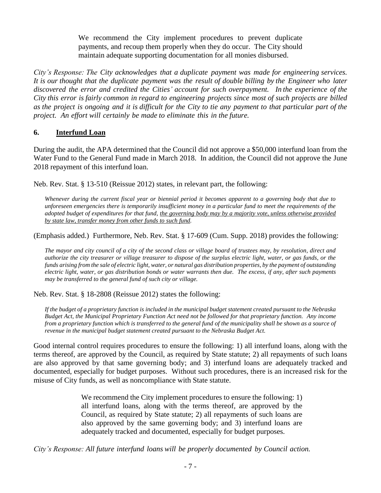We recommend the City implement procedures to prevent duplicate payments, and recoup them properly when they do occur. The City should maintain adequate supporting documentation for all monies disbursed.

*City's Response: The City acknowledges that a duplicate payment was made for engineering services.*  It is our thought that the duplicate payment was the result of double billing by the Engineer who later *discovered the error and credited the Cities' account for such overpayment. In the experience of the City this error is fairly common in regard to engineering projects since most of such projects are billed* as the project is ongoing and it is difficult for the City to tie any payment to that particular part of the *project. An effort will certainly be made to eliminate this in the future.*

# **6. Interfund Loan**

During the audit, the APA determined that the Council did not approve a \$50,000 interfund loan from the Water Fund to the General Fund made in March 2018. In addition, the Council did not approve the June 2018 repayment of this interfund loan.

Neb. Rev. Stat. § 13-510 (Reissue 2012) states, in relevant part, the following:

*Whenever during the current fiscal year or biennial period it becomes apparent to a governing body that due to unforeseen emergencies there is temporarily insufficient money in a particular fund to meet the requirements of the adopted budget of expenditures for that fund, the governing body may by a majority vote, unless otherwise provided by state law, transfer money from other funds to such fund.*

(Emphasis added.) Furthermore, Neb. Rev. Stat. § 17-609 (Cum. Supp. 2018) provides the following:

*The mayor and city council of a city of the second class or village board of trustees may, by resolution, direct and authorize the city treasurer or village treasurer to dispose of the surplus electric light, water, or gas funds, or the funds arising from the sale of electric light, water, or natural gas distribution properties, by the payment of outstanding electric light, water, or gas distribution bonds or water warrants then due. The excess, if any, after such payments may be transferred to the general fund of such city or village.*

Neb. Rev. Stat. § 18-2808 (Reissue 2012) states the following:

*If the budget of a proprietary function is included in the municipal budget statement created pursuant to the Nebraska Budget Act, the Municipal Proprietary Function Act need not be followed for that proprietary function. Any income from a proprietary function which is transferred to the general fund of the municipality shall be shown as a source of revenue in the municipal budget statement created pursuant to the Nebraska Budget Act.*

Good internal control requires procedures to ensure the following: 1) all interfund loans, along with the terms thereof, are approved by the Council, as required by State statute; 2) all repayments of such loans are also approved by that same governing body; and 3) interfund loans are adequately tracked and documented, especially for budget purposes. Without such procedures, there is an increased risk for the misuse of City funds, as well as noncompliance with State statute.

> We recommend the City implement procedures to ensure the following: 1) all interfund loans, along with the terms thereof, are approved by the Council, as required by State statute; 2) all repayments of such loans are also approved by the same governing body; and 3) interfund loans are adequately tracked and documented, especially for budget purposes.

*City's Response: All future interfund loans will be properly documented by Council action.*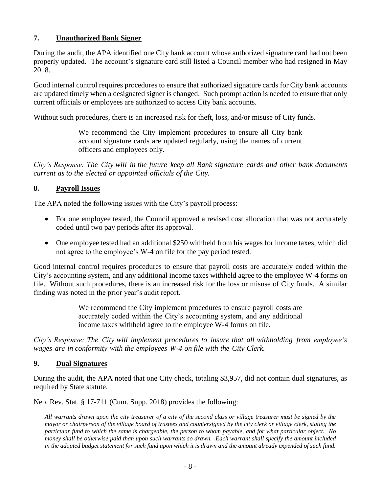## **7. Unauthorized Bank Signer**

During the audit, the APA identified one City bank account whose authorized signature card had not been properly updated. The account's signature card still listed a Council member who had resigned in May 2018.

Good internal control requires procedures to ensure that authorized signature cards for City bank accounts are updated timely when a designated signer is changed. Such prompt action is needed to ensure that only current officials or employees are authorized to access City bank accounts.

Without such procedures, there is an increased risk for theft, loss, and/or misuse of City funds.

We recommend the City implement procedures to ensure all City bank account signature cards are updated regularly, using the names of current officers and employees only.

*City's Response: The City will in the future keep all Bank signature cards and other bank documents current as to the elected or appointed officials of the City.*

## **8. Payroll Issues**

The APA noted the following issues with the City's payroll process:

- For one employee tested, the Council approved a revised cost allocation that was not accurately coded until two pay periods after its approval.
- One employee tested had an additional \$250 withheld from his wages for income taxes, which did not agree to the employee's W-4 on file for the pay period tested.

Good internal control requires procedures to ensure that payroll costs are accurately coded within the City's accounting system, and any additional income taxes withheld agree to the employee W-4 forms on file. Without such procedures, there is an increased risk for the loss or misuse of City funds. A similar finding was noted in the prior year's audit report.

> We recommend the City implement procedures to ensure payroll costs are accurately coded within the City's accounting system, and any additional income taxes withheld agree to the employee W-4 forms on file.

*City's Response: The City will implement procedures to insure that all withholding from employee's wages are in conformity with the employees W-4 on file with the City Clerk.*

## **9. Dual Signatures**

During the audit, the APA noted that one City check, totaling \$3,957, did not contain dual signatures, as required by State statute.

Neb. Rev. Stat. § 17-711 (Cum. Supp. 2018) provides the following:

*All warrants drawn upon the city treasurer of a city of the second class or village treasurer must be signed by the mayor or chairperson of the village board of trustees and countersigned by the city clerk or village clerk, stating the particular fund to which the same is chargeable, the person to whom payable, and for what particular object. No money shall be otherwise paid than upon such warrants so drawn. Each warrant shall specify the amount included in the adopted budget statement for such fund upon which it is drawn and the amount already expended of such fund.*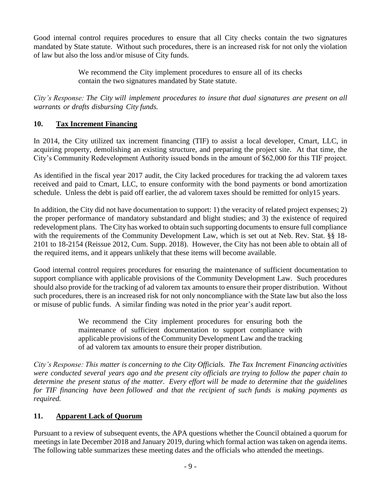Good internal control requires procedures to ensure that all City checks contain the two signatures mandated by State statute. Without such procedures, there is an increased risk for not only the violation of law but also the loss and/or misuse of City funds.

> We recommend the City implement procedures to ensure all of its checks contain the two signatures mandated by State statute.

*City's Response: The City will implement procedures to insure that dual signatures are present on all warrants or drafts disbursing City funds.*

# **10. Tax Increment Financing**

In 2014, the City utilized tax increment financing (TIF) to assist a local developer, Cmart, LLC, in acquiring property, demolishing an existing structure, and preparing the project site. At that time, the City's Community Redevelopment Authority issued bonds in the amount of \$62,000 for this TIF project.

As identified in the fiscal year 2017 audit, the City lacked procedures for tracking the ad valorem taxes received and paid to Cmart, LLC, to ensure conformity with the bond payments or bond amortization schedule. Unless the debt is paid off earlier, the ad valorem taxes should be remitted for only15 years.

In addition, the City did not have documentation to support: 1) the veracity of related project expenses; 2) the proper performance of mandatory substandard and blight studies; and 3) the existence of required redevelopment plans. The City has worked to obtain such supporting documents to ensure full compliance with the requirements of the Community Development Law, which is set out at Neb. Rev. Stat. §§ 18- 2101 to 18-2154 (Reissue 2012, Cum. Supp. 2018). However, the City has not been able to obtain all of the required items, and it appears unlikely that these items will become available.

Good internal control requires procedures for ensuring the maintenance of sufficient documentation to support compliance with applicable provisions of the Community Development Law. Such procedures should also provide for the tracking of ad valorem tax amounts to ensure their proper distribution. Without such procedures, there is an increased risk for not only noncompliance with the State law but also the loss or misuse of public funds. A similar finding was noted in the prior year's audit report.

> We recommend the City implement procedures for ensuring both the maintenance of sufficient documentation to support compliance with applicable provisions of the Community Development Law and the tracking of ad valorem tax amounts to ensure their proper distribution.

*City's Response: This matter is concerning to the City Officials. The Tax Increment Financing activities were conducted several years ago and the present city officials are trying to follow the paper chain to determine the present status of the matter. Every effort will be made to determine that the guidelines for TIF financing have been followed and that the recipient of such funds is making payments as required.*

# **11. Apparent Lack of Quorum**

Pursuant to a review of subsequent events, the APA questions whether the Council obtained a quorum for meetings in late December 2018 and January 2019, during which formal action was taken on agenda items. The following table summarizes these meeting dates and the officials who attended the meetings.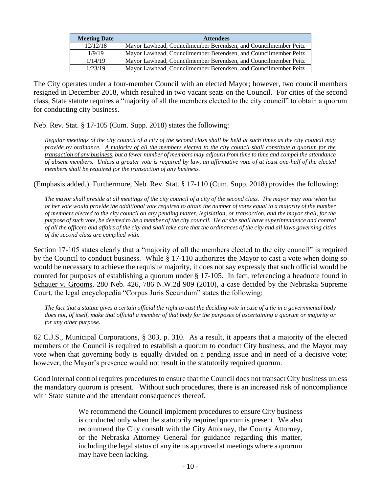| <b>Meeting Date</b> | <b>Attendees</b>                                                |
|---------------------|-----------------------------------------------------------------|
| 12/12/18            | Mayor Lawhead, Councilmember Berendsen, and Councilmember Peitz |
| 1/9/19              | Mayor Lawhead, Councilmember Berendsen, and Councilmember Peitz |
| 1/14/19             | Mayor Lawhead, Councilmember Berendsen, and Councilmember Peitz |
| 1/23/19             | Mayor Lawhead, Councilmember Berendsen, and Councilmember Peitz |

The City operates under a four-member Council with an elected Mayor; however, two council members resigned in December 2018, which resulted in two vacant seats on the Council. For cities of the second class, State statute requires a "majority of all the members elected to the city council" to obtain a quorum for conducting city business.

Neb. Rev. Stat. § 17-105 (Cum. Supp. 2018) states the following:

*Regular meetings of the city council of a city of the second class shall be held at such times as the city council may provide by ordinance. A majority of all the members elected to the city council shall constitute a quorum for the transaction of any business, but a fewer number of members may adjourn from time to time and compel the attendance of absent members. Unless a greater vote is required by law, an affirmative vote of at least one-half of the elected members shall be required for the transaction of any business.*

(Emphasis added.) Furthermore, Neb. Rev. Stat. § 17-110 (Cum. Supp. 2018) provides the following:

*The mayor shall preside at all meetings of the city council of a city of the second class. The mayor may vote when his or her vote would provide the additional vote required to attain the number of votes equal to a majority of the number of members elected to the city council on any pending matter, legislation, or transaction, and the mayor shall, for the purpose of such vote, be deemed to be a member of the city council. He or she shall have superintendence and control of all the officers and affairs of the city and shall take care that the ordinances of the city and all laws governing cities of the second class are complied with.*

Section 17-105 states clearly that a "majority of all the members elected to the city council" is required by the Council to conduct business. While § 17-110 authorizes the Mayor to cast a vote when doing so would be necessary to achieve the requisite majority, it does not say expressly that such official would be counted for purposes of establishing a quorum under § 17-105. In fact, referencing a headnote found in Schauer v. Grooms, 280 Neb. 426, 786 N.W.2d 909 (2010), a case decided by the Nebraska Supreme Court, the legal encyclopedia "Corpus Juris Secundum" states the following:

*The fact that a statute gives a certain official the right to cast the deciding vote in case of a tie in a governmental body does not, of itself, make that official a member of that body for the purposes of ascertaining a quorum or majority or for any other purpose.* 

62 C.J.S., Municipal Corporations, § 303, p. 310. As a result, it appears that a majority of the elected members of the Council is required to establish a quorum to conduct City business, and the Mayor may vote when that governing body is equally divided on a pending issue and in need of a decisive vote; however, the Mayor's presence would not result in the statutorily required quorum.

Good internal control requires procedures to ensure that the Council does not transact City business unless the mandatory quorum is present. Without such procedures, there is an increased risk of noncompliance with State statute and the attendant consequences thereof.

> We recommend the Council implement procedures to ensure City business is conducted only when the statutorily required quorum is present. We also recommend the City consult with the City Attorney, the County Attorney, or the Nebraska Attorney General for guidance regarding this matter, including the legal status of any items approved at meetings where a quorum may have been lacking.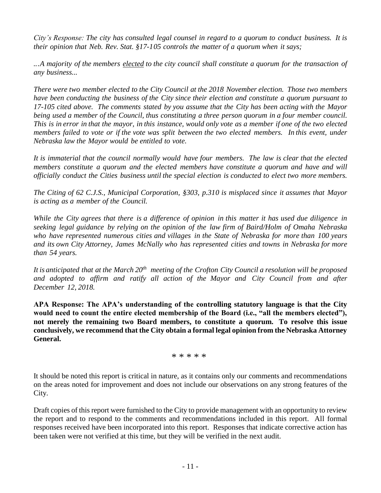*City's Response: The city has consulted legal counsel in regard to a quorum to conduct business. It is their opinion that Neb. Rev. Stat. §17-105 controls the matter of a quorum when it says;*

*...A majority of the members elected to the city council shall constitute a quorum for the transaction of any business...*

*There were two member elected to the City Council at the 2018 November election. Those two members have been conducting the business of the City since their election and constitute a quorum pursuant to 17-105 cited above. The comments stated by you assume that the City has been acting with the Mayor being used a member of the Council, thus constituting a three person quorum in a four member council.*  This is in error in that the mayor, in this instance, would only vote as a member if one of the two elected *members failed to vote or if the vote was split between the two elected members. In this event, under Nebraska law the Mayor would be entitled to vote.*

*It is immaterial that the council normally would have four members. The law is clear that the elected members constitute a quorum and the elected members have constitute a quorum and have and will officially conduct the Cities business until the special election is conducted to elect two more members.*

*The Citing of 62 C.J.S., Municipal Corporation, §303, p.310 is misplaced since it assumes that Mayor is acting as a member of the Council.*

While the City agrees that there is a difference of opinion in this matter it has used due diligence in *seeking legal guidance by relying on the opinion of the law firm of Baird/Holm of Omaha Nebraska who have represented numerous cities and villages in the State of Nebraska for more than 100 years and its own City Attorney, James McNally who has represented cities and towns in Nebraska for more than 54 years.*

It is anticipated that at the March  $20<sup>th</sup>$  meeting of the Crofton City Council a resolution will be proposed *and adopted to affirm and ratify all action of the Mayor and City Council from and after December 12, 2018.*

**APA Response: The APA's understanding of the controlling statutory language is that the City would need to count the entire elected membership of the Board (i.e., "all the members elected"), not merely the remaining two Board members, to constitute a quorum. To resolve this issue conclusively, we recommend that the City obtain a formal legal opinion from the Nebraska Attorney General.**

\* \* \* \* \*

It should be noted this report is critical in nature, as it contains only our comments and recommendations on the areas noted for improvement and does not include our observations on any strong features of the City.

Draft copies of this report were furnished to the City to provide management with an opportunity to review the report and to respond to the comments and recommendations included in this report. All formal responses received have been incorporated into this report. Responses that indicate corrective action has been taken were not verified at this time, but they will be verified in the next audit.